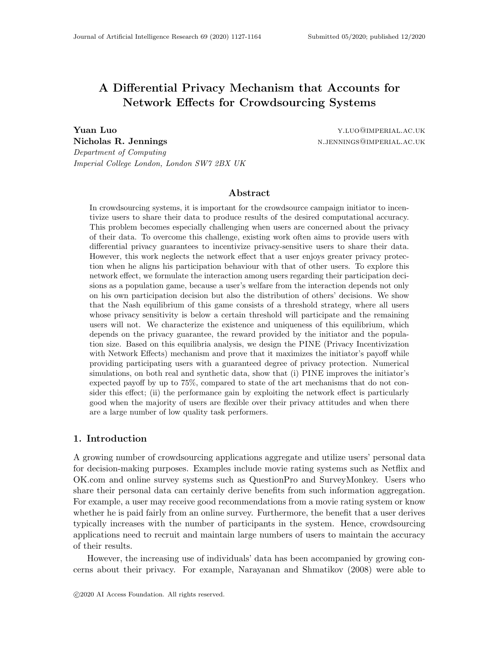# A Differential Privacy Mechanism that Accounts for Network Effects for Crowdsourcing Systems

**Yuan Luo Y**umber 2012 **View 2013 V** and  $\alpha$  *Y*<sub>LUO</sub> **WIMPERIAL.AC.UK** Nicholas R. Jennings and the set of the set of the number of the number  $N$ . JENNINGS@IMPERIAL.AC.UK Department of Computing Imperial College London, London SW7 2BX UK

#### Abstract

In crowdsourcing systems, it is important for the crowdsource campaign initiator to incentivize users to share their data to produce results of the desired computational accuracy. This problem becomes especially challenging when users are concerned about the privacy of their data. To overcome this challenge, existing work often aims to provide users with differential privacy guarantees to incentivize privacy-sensitive users to share their data. However, this work neglects the network effect that a user enjoys greater privacy protection when he aligns his participation behaviour with that of other users. To explore this network effect, we formulate the interaction among users regarding their participation decisions as a population game, because a user's welfare from the interaction depends not only on his own participation decision but also the distribution of others' decisions. We show that the Nash equilibrium of this game consists of a threshold strategy, where all users whose privacy sensitivity is below a certain threshold will participate and the remaining users will not. We characterize the existence and uniqueness of this equilibrium, which depends on the privacy guarantee, the reward provided by the initiator and the population size. Based on this equilibria analysis, we design the PINE (Privacy Incentivization with Network Effects) mechanism and prove that it maximizes the initiator's payoff while providing participating users with a guaranteed degree of privacy protection. Numerical simulations, on both real and synthetic data, show that (i) PINE improves the initiator's expected payoff by up to 75%, compared to state of the art mechanisms that do not consider this effect; (ii) the performance gain by exploiting the network effect is particularly good when the majority of users are flexible over their privacy attitudes and when there are a large number of low quality task performers.

# 1. Introduction

A growing number of crowdsourcing applications aggregate and utilize users' personal data for decision-making purposes. Examples include movie rating systems such as Netflix and OK.com and online survey systems such as QuestionPro and SurveyMonkey. Users who share their personal data can certainly derive benefits from such information aggregation. For example, a user may receive good recommendations from a movie rating system or know whether he is paid fairly from an online survey. Furthermore, the benefit that a user derives typically increases with the number of participants in the system. Hence, crowdsourcing applications need to recruit and maintain large numbers of users to maintain the accuracy of their results.

However, the increasing use of individuals' data has been accompanied by growing concerns about their privacy. For example, Narayanan and Shmatikov (2008) were able to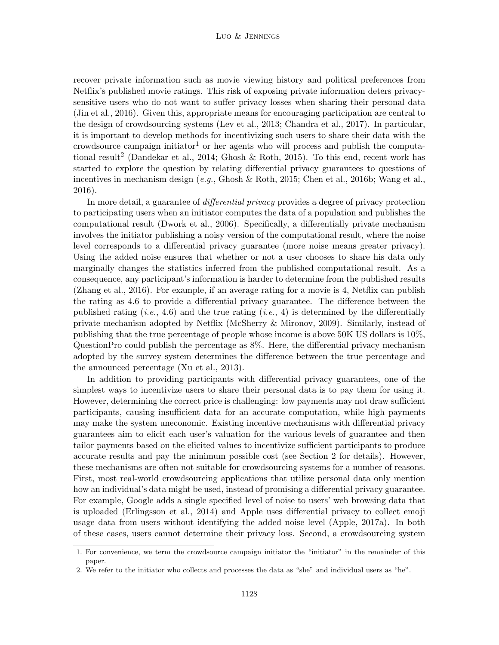recover private information such as movie viewing history and political preferences from Netflix's published movie ratings. This risk of exposing private information deters privacysensitive users who do not want to suffer privacy losses when sharing their personal data (Jin et al., 2016). Given this, appropriate means for encouraging participation are central to the design of crowdsourcing systems (Lev et al., 2013; Chandra et al., 2017). In particular, it is important to develop methods for incentivizing such users to share their data with the crowdsource campaign initiator<sup>1</sup> or her agents who will process and publish the computational result<sup>2</sup> (Dandekar et al., 2014; Ghosh & Roth, 2015). To this end, recent work has started to explore the question by relating differential privacy guarantees to questions of incentives in mechanism design (e.g., Ghosh & Roth, 2015; Chen et al., 2016b; Wang et al., 2016).

In more detail, a guarantee of differential privacy provides a degree of privacy protection to participating users when an initiator computes the data of a population and publishes the computational result (Dwork et al., 2006). Specifically, a differentially private mechanism involves the initiator publishing a noisy version of the computational result, where the noise level corresponds to a differential privacy guarantee (more noise means greater privacy). Using the added noise ensures that whether or not a user chooses to share his data only marginally changes the statistics inferred from the published computational result. As a consequence, any participant's information is harder to determine from the published results (Zhang et al., 2016). For example, if an average rating for a movie is 4, Netflix can publish the rating as 4.6 to provide a differential privacy guarantee. The difference between the published rating (*i.e.*, 4.6) and the true rating (*i.e.*, 4) is determined by the differentially private mechanism adopted by Netflix (McSherry & Mironov, 2009). Similarly, instead of publishing that the true percentage of people whose income is above 50K US dollars is 10%, QuestionPro could publish the percentage as 8%. Here, the differential privacy mechanism adopted by the survey system determines the difference between the true percentage and the announced percentage (Xu et al., 2013).

In addition to providing participants with differential privacy guarantees, one of the simplest ways to incentivize users to share their personal data is to pay them for using it. However, determining the correct price is challenging: low payments may not draw sufficient participants, causing insufficient data for an accurate computation, while high payments may make the system uneconomic. Existing incentive mechanisms with differential privacy guarantees aim to elicit each user's valuation for the various levels of guarantee and then tailor payments based on the elicited values to incentivize sufficient participants to produce accurate results and pay the minimum possible cost (see Section 2 for details). However, these mechanisms are often not suitable for crowdsourcing systems for a number of reasons. First, most real-world crowdsourcing applications that utilize personal data only mention how an individual's data might be used, instead of promising a differential privacy guarantee. For example, Google adds a single specified level of noise to users' web browsing data that is uploaded (Erlingsson et al., 2014) and Apple uses differential privacy to collect emoji usage data from users without identifying the added noise level (Apple, 2017a). In both of these cases, users cannot determine their privacy loss. Second, a crowdsourcing system

<sup>1.</sup> For convenience, we term the crowdsource campaign initiator the "initiator" in the remainder of this paper.

<sup>2.</sup> We refer to the initiator who collects and processes the data as "she" and individual users as "he".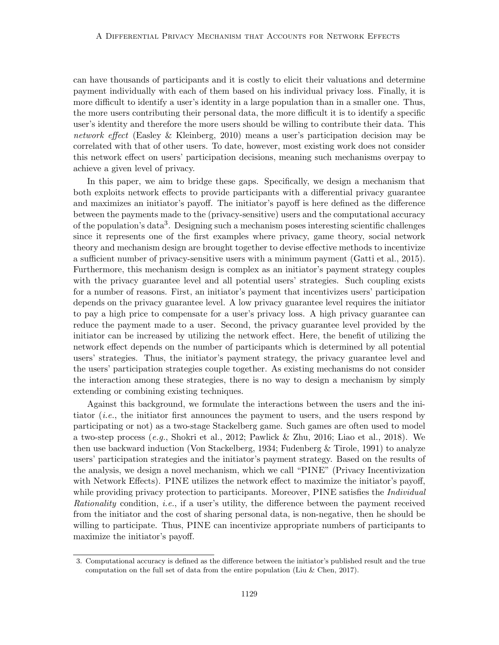can have thousands of participants and it is costly to elicit their valuations and determine payment individually with each of them based on his individual privacy loss. Finally, it is more difficult to identify a user's identity in a large population than in a smaller one. Thus, the more users contributing their personal data, the more difficult it is to identify a specific user's identity and therefore the more users should be willing to contribute their data. This network effect (Easley & Kleinberg, 2010) means a user's participation decision may be correlated with that of other users. To date, however, most existing work does not consider this network effect on users' participation decisions, meaning such mechanisms overpay to achieve a given level of privacy.

In this paper, we aim to bridge these gaps. Specifically, we design a mechanism that both exploits network effects to provide participants with a differential privacy guarantee and maximizes an initiator's payoff. The initiator's payoff is here defined as the difference between the payments made to the (privacy-sensitive) users and the computational accuracy of the population's data<sup>3</sup>. Designing such a mechanism poses interesting scientific challenges since it represents one of the first examples where privacy, game theory, social network theory and mechanism design are brought together to devise effective methods to incentivize a sufficient number of privacy-sensitive users with a minimum payment (Gatti et al., 2015). Furthermore, this mechanism design is complex as an initiator's payment strategy couples with the privacy guarantee level and all potential users' strategies. Such coupling exists for a number of reasons. First, an initiator's payment that incentivizes users' participation depends on the privacy guarantee level. A low privacy guarantee level requires the initiator to pay a high price to compensate for a user's privacy loss. A high privacy guarantee can reduce the payment made to a user. Second, the privacy guarantee level provided by the initiator can be increased by utilizing the network effect. Here, the benefit of utilizing the network effect depends on the number of participants which is determined by all potential users' strategies. Thus, the initiator's payment strategy, the privacy guarantee level and the users' participation strategies couple together. As existing mechanisms do not consider the interaction among these strategies, there is no way to design a mechanism by simply extending or combining existing techniques.

Against this background, we formulate the interactions between the users and the initiator (i.e., the initiator first announces the payment to users, and the users respond by participating or not) as a two-stage Stackelberg game. Such games are often used to model a two-step process  $(e,q, Shokri et al., 2012; Pawlick & Zhu, 2016; Liao et al., 2018).$  We then use backward induction (Von Stackelberg, 1934; Fudenberg & Tirole, 1991) to analyze users' participation strategies and the initiator's payment strategy. Based on the results of the analysis, we design a novel mechanism, which we call "PINE" (Privacy Incentivization with Network Effects). PINE utilizes the network effect to maximize the initiator's payoff, while providing privacy protection to participants. Moreover, PINE satisfies the *Individual* Rationality condition, i.e., if a user's utility, the difference between the payment received from the initiator and the cost of sharing personal data, is non-negative, then he should be willing to participate. Thus, PINE can incentivize appropriate numbers of participants to maximize the initiator's payoff.

<sup>3.</sup> Computational accuracy is defined as the difference between the initiator's published result and the true computation on the full set of data from the entire population (Liu  $&$  Chen, 2017).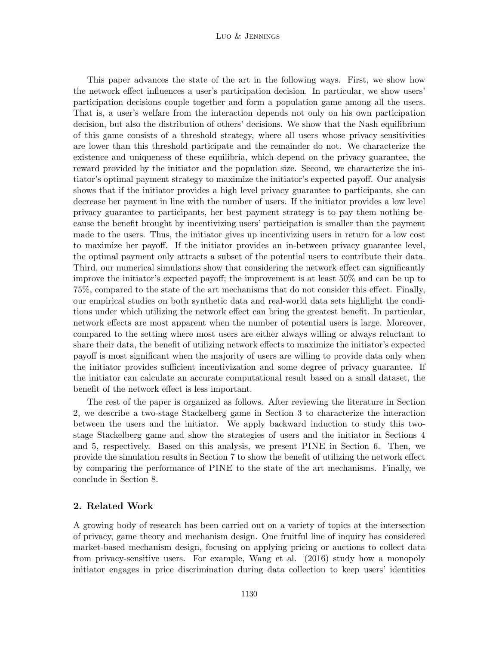This paper advances the state of the art in the following ways. First, we show how the network effect influences a user's participation decision. In particular, we show users' participation decisions couple together and form a population game among all the users. That is, a user's welfare from the interaction depends not only on his own participation decision, but also the distribution of others' decisions. We show that the Nash equilibrium of this game consists of a threshold strategy, where all users whose privacy sensitivities are lower than this threshold participate and the remainder do not. We characterize the existence and uniqueness of these equilibria, which depend on the privacy guarantee, the reward provided by the initiator and the population size. Second, we characterize the initiator's optimal payment strategy to maximize the initiator's expected payoff. Our analysis shows that if the initiator provides a high level privacy guarantee to participants, she can decrease her payment in line with the number of users. If the initiator provides a low level privacy guarantee to participants, her best payment strategy is to pay them nothing because the benefit brought by incentivizing users' participation is smaller than the payment made to the users. Thus, the initiator gives up incentivizing users in return for a low cost to maximize her payoff. If the initiator provides an in-between privacy guarantee level, the optimal payment only attracts a subset of the potential users to contribute their data. Third, our numerical simulations show that considering the network effect can significantly improve the initiator's expected payoff; the improvement is at least 50% and can be up to 75%, compared to the state of the art mechanisms that do not consider this effect. Finally, our empirical studies on both synthetic data and real-world data sets highlight the conditions under which utilizing the network effect can bring the greatest benefit. In particular, network effects are most apparent when the number of potential users is large. Moreover, compared to the setting where most users are either always willing or always reluctant to share their data, the benefit of utilizing network effects to maximize the initiator's expected payoff is most significant when the majority of users are willing to provide data only when the initiator provides sufficient incentivization and some degree of privacy guarantee. If the initiator can calculate an accurate computational result based on a small dataset, the benefit of the network effect is less important.

The rest of the paper is organized as follows. After reviewing the literature in Section 2, we describe a two-stage Stackelberg game in Section 3 to characterize the interaction between the users and the initiator. We apply backward induction to study this twostage Stackelberg game and show the strategies of users and the initiator in Sections 4 and 5, respectively. Based on this analysis, we present PINE in Section 6. Then, we provide the simulation results in Section 7 to show the benefit of utilizing the network effect by comparing the performance of PINE to the state of the art mechanisms. Finally, we conclude in Section 8.

# 2. Related Work

A growing body of research has been carried out on a variety of topics at the intersection of privacy, game theory and mechanism design. One fruitful line of inquiry has considered market-based mechanism design, focusing on applying pricing or auctions to collect data from privacy-sensitive users. For example, Wang et al. (2016) study how a monopoly initiator engages in price discrimination during data collection to keep users' identities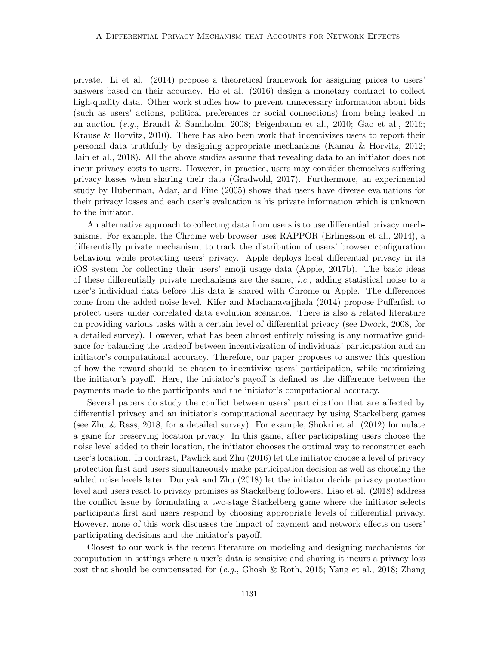private. Li et al. (2014) propose a theoretical framework for assigning prices to users' answers based on their accuracy. Ho et al. (2016) design a monetary contract to collect high-quality data. Other work studies how to prevent unnecessary information about bids (such as users' actions, political preferences or social connections) from being leaked in an auction (e.g., Brandt & Sandholm, 2008; Feigenbaum et al., 2010; Gao et al., 2016; Krause & Horvitz, 2010). There has also been work that incentivizes users to report their personal data truthfully by designing appropriate mechanisms (Kamar & Horvitz, 2012; Jain et al., 2018). All the above studies assume that revealing data to an initiator does not incur privacy costs to users. However, in practice, users may consider themselves suffering privacy losses when sharing their data (Gradwohl, 2017). Furthermore, an experimental study by Huberman, Adar, and Fine (2005) shows that users have diverse evaluations for their privacy losses and each user's evaluation is his private information which is unknown to the initiator.

An alternative approach to collecting data from users is to use differential privacy mechanisms. For example, the Chrome web browser uses RAPPOR (Erlingsson et al., 2014), a differentially private mechanism, to track the distribution of users' browser configuration behaviour while protecting users' privacy. Apple deploys local differential privacy in its iOS system for collecting their users' emoji usage data (Apple, 2017b). The basic ideas of these differentially private mechanisms are the same, i.e., adding statistical noise to a user's individual data before this data is shared with Chrome or Apple. The differences come from the added noise level. Kifer and Machanavajjhala (2014) propose Pufferfish to protect users under correlated data evolution scenarios. There is also a related literature on providing various tasks with a certain level of differential privacy (see Dwork, 2008, for a detailed survey). However, what has been almost entirely missing is any normative guidance for balancing the tradeoff between incentivization of individuals' participation and an initiator's computational accuracy. Therefore, our paper proposes to answer this question of how the reward should be chosen to incentivize users' participation, while maximizing the initiator's payoff. Here, the initiator's payoff is defined as the difference between the payments made to the participants and the initiator's computational accuracy.

Several papers do study the conflict between users' participation that are affected by differential privacy and an initiator's computational accuracy by using Stackelberg games (see Zhu & Rass, 2018, for a detailed survey). For example, Shokri et al. (2012) formulate a game for preserving location privacy. In this game, after participating users choose the noise level added to their location, the initiator chooses the optimal way to reconstruct each user's location. In contrast, Pawlick and Zhu (2016) let the initiator choose a level of privacy protection first and users simultaneously make participation decision as well as choosing the added noise levels later. Dunyak and Zhu (2018) let the initiator decide privacy protection level and users react to privacy promises as Stackelberg followers. Liao et al. (2018) address the conflict issue by formulating a two-stage Stackelberg game where the initiator selects participants first and users respond by choosing appropriate levels of differential privacy. However, none of this work discusses the impact of payment and network effects on users' participating decisions and the initiator's payoff.

Closest to our work is the recent literature on modeling and designing mechanisms for computation in settings where a user's data is sensitive and sharing it incurs a privacy loss cost that should be compensated for  $(e.g., Ghosh \& Roth, 2015; Yang et al., 2018; Zhang)$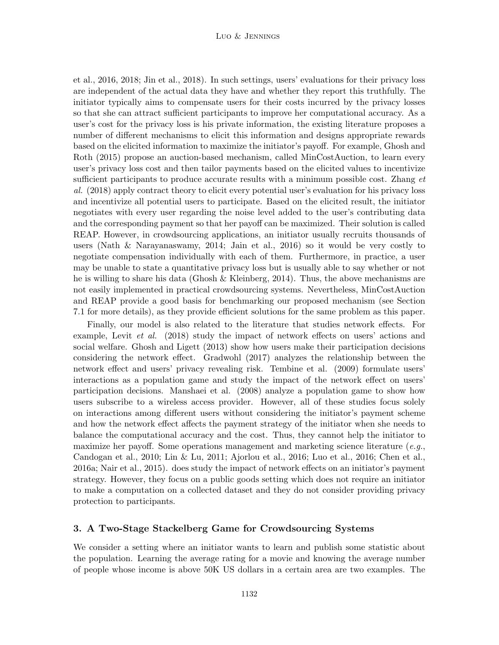et al., 2016, 2018; Jin et al., 2018). In such settings, users' evaluations for their privacy loss are independent of the actual data they have and whether they report this truthfully. The initiator typically aims to compensate users for their costs incurred by the privacy losses so that she can attract sufficient participants to improve her computational accuracy. As a user's cost for the privacy loss is his private information, the existing literature proposes a number of different mechanisms to elicit this information and designs appropriate rewards based on the elicited information to maximize the initiator's payoff. For example, Ghosh and Roth (2015) propose an auction-based mechanism, called MinCostAuction, to learn every user's privacy loss cost and then tailor payments based on the elicited values to incentivize sufficient participants to produce accurate results with a minimum possible cost. Zhang et al. (2018) apply contract theory to elicit every potential user's evaluation for his privacy loss and incentivize all potential users to participate. Based on the elicited result, the initiator negotiates with every user regarding the noise level added to the user's contributing data and the corresponding payment so that her payoff can be maximized. Their solution is called REAP. However, in crowdsourcing applications, an initiator usually recruits thousands of users (Nath & Narayanaswamy, 2014; Jain et al., 2016) so it would be very costly to negotiate compensation individually with each of them. Furthermore, in practice, a user may be unable to state a quantitative privacy loss but is usually able to say whether or not he is willing to share his data (Ghosh & Kleinberg, 2014). Thus, the above mechanisms are not easily implemented in practical crowdsourcing systems. Nevertheless, MinCostAuction and REAP provide a good basis for benchmarking our proposed mechanism (see Section 7.1 for more details), as they provide efficient solutions for the same problem as this paper.

Finally, our model is also related to the literature that studies network effects. For example, Levit *et al.* (2018) study the impact of network effects on users' actions and social welfare. Ghosh and Ligett (2013) show how users make their participation decisions considering the network effect. Gradwohl (2017) analyzes the relationship between the network effect and users' privacy revealing risk. Tembine et al. (2009) formulate users' interactions as a population game and study the impact of the network effect on users' participation decisions. Manshaei et al. (2008) analyze a population game to show how users subscribe to a wireless access provider. However, all of these studies focus solely on interactions among different users without considering the initiator's payment scheme and how the network effect affects the payment strategy of the initiator when she needs to balance the computational accuracy and the cost. Thus, they cannot help the initiator to maximize her payoff. Some operations management and marketing science literature  $(e.g.,)$ Candogan et al., 2010; Lin & Lu, 2011; Ajorlou et al., 2016; Luo et al., 2016; Chen et al., 2016a; Nair et al., 2015). does study the impact of network effects on an initiator's payment strategy. However, they focus on a public goods setting which does not require an initiator to make a computation on a collected dataset and they do not consider providing privacy protection to participants.

# 3. A Two-Stage Stackelberg Game for Crowdsourcing Systems

We consider a setting where an initiator wants to learn and publish some statistic about the population. Learning the average rating for a movie and knowing the average number of people whose income is above 50K US dollars in a certain area are two examples. The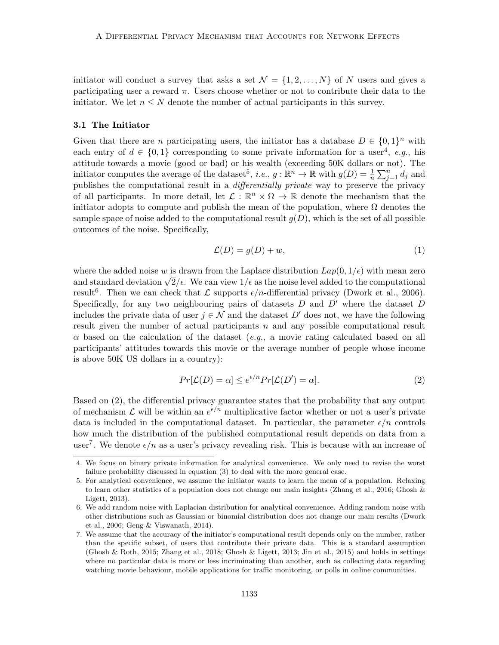initiator will conduct a survey that asks a set  $\mathcal{N} = \{1, 2, ..., N\}$  of N users and gives a participating user a reward  $\pi$ . Users choose whether or not to contribute their data to the initiator. We let  $n \leq N$  denote the number of actual participants in this survey.

# 3.1 The Initiator

Given that there are *n* participating users, the initiator has a database  $D \in \{0,1\}^n$  with each entry of  $d \in \{0,1\}$  corresponding to some private information for a user<sup>4</sup>, e.g., his attitude towards a movie (good or bad) or his wealth (exceeding 50K dollars or not). The initiator computes the average of the dataset<sup>5</sup>, *i.e.*,  $g : \mathbb{R}^n \to \mathbb{R}$  with  $g(D) = \frac{1}{n} \sum_{j=1}^n d_j$  and publishes the computational result in a *differentially private* way to preserve the privacy of all participants. In more detail, let  $\mathcal{L}: \mathbb{R}^n \times \Omega \to \mathbb{R}$  denote the mechanism that the initiator adopts to compute and publish the mean of the population, where  $\Omega$  denotes the sample space of noise added to the computational result  $g(D)$ , which is the set of all possible outcomes of the noise. Specifically,

$$
\mathcal{L}(D) = g(D) + w,\tag{1}
$$

where the added noise w is drawn from the Laplace distribution  $Lap(0, 1/\epsilon)$  with mean zero where the added holse w is drawn from the Laplace distribution  $Lap(0,1/\epsilon)$  with mean zero<br>and standard deviation  $\sqrt{2}/\epsilon$ . We can view  $1/\epsilon$  as the noise level added to the computational result<sup>6</sup>. Then we can check that  $\mathcal L$  supports  $\epsilon/n$ -differential privacy (Dwork et al., 2006). Specifically, for any two neighbouring pairs of datasets  $D$  and  $D'$  where the dataset  $D$ includes the private data of user  $j \in \mathcal{N}$  and the dataset D' does not, we have the following result given the number of actual participants  $n$  and any possible computational result  $\alpha$  based on the calculation of the dataset (*e.g.*, a movie rating calculated based on all participants' attitudes towards this movie or the average number of people whose income is above 50K US dollars in a country):

$$
Pr[\mathcal{L}(D) = \alpha] \le e^{\epsilon/n} Pr[\mathcal{L}(D') = \alpha]. \tag{2}
$$

Based on (2), the differential privacy guarantee states that the probability that any output of mechanism  $\mathcal L$  will be within an  $e^{\epsilon/n}$  multiplicative factor whether or not a user's private data is included in the computational dataset. In particular, the parameter  $\epsilon/n$  controls how much the distribution of the published computational result depends on data from a user<sup>7</sup>. We denote  $\epsilon/n$  as a user's privacy revealing risk. This is because with an increase of

<sup>4.</sup> We focus on binary private information for analytical convenience. We only need to revise the worst failure probability discussed in equation (3) to deal with the more general case.

<sup>5.</sup> For analytical convenience, we assume the initiator wants to learn the mean of a population. Relaxing to learn other statistics of a population does not change our main insights (Zhang et al., 2016; Ghosh & Ligett, 2013).

<sup>6.</sup> We add random noise with Laplacian distribution for analytical convenience. Adding random noise with other distributions such as Gaussian or binomial distribution does not change our main results (Dwork et al., 2006; Geng & Viswanath, 2014).

<sup>7.</sup> We assume that the accuracy of the initiator's computational result depends only on the number, rather than the specific subset, of users that contribute their private data. This is a standard assumption (Ghosh & Roth, 2015; Zhang et al., 2018; Ghosh & Ligett, 2013; Jin et al., 2015) and holds in settings where no particular data is more or less incriminating than another, such as collecting data regarding watching movie behaviour, mobile applications for traffic monitoring, or polls in online communities.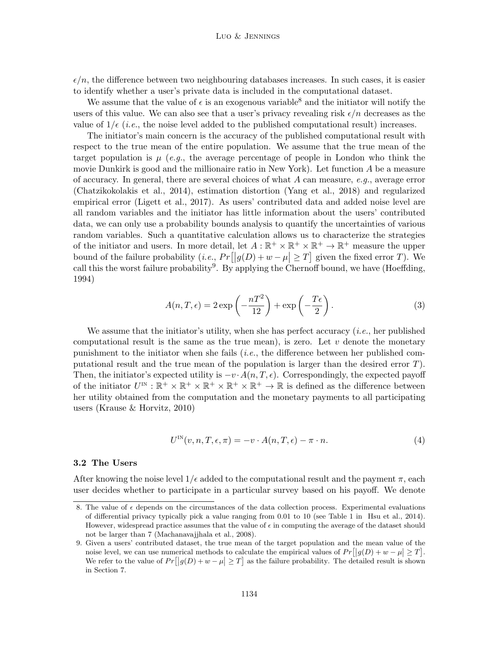$\epsilon/n$ , the difference between two neighbouring databases increases. In such cases, it is easier to identify whether a user's private data is included in the computational dataset.

We assume that the value of  $\epsilon$  is an exogenous variable<sup>8</sup> and the initiator will notify the users of this value. We can also see that a user's privacy revealing risk  $\epsilon/n$  decreases as the value of  $1/\epsilon$  (*i.e.*, the noise level added to the published computational result) increases.

The initiator's main concern is the accuracy of the published computational result with respect to the true mean of the entire population. We assume that the true mean of the target population is  $\mu$  (e.g., the average percentage of people in London who think the movie Dunkirk is good and the millionaire ratio in New York). Let function A be a measure of accuracy. In general, there are several choices of what A can measure, e.g., average error (Chatzikokolakis et al., 2014), estimation distortion (Yang et al., 2018) and regularized empirical error (Ligett et al., 2017). As users' contributed data and added noise level are all random variables and the initiator has little information about the users' contributed data, we can only use a probability bounds analysis to quantify the uncertainties of various random variables. Such a quantitative calculation allows us to characterize the strategies of the initiator and users. In more detail, let  $A: \mathbb{R}^+ \times \mathbb{R}^+ \times \mathbb{R}^+ \to \mathbb{R}^+$  measure the upper bound of the failure probability  $(i.e., Pr[|g(D)+w-\mu| \geq T]$  given the fixed error T). We call this the worst failure probability<sup>9</sup>. By applying the Chernoff bound, we have (Hoeffding, 1994)

$$
A(n,T,\epsilon) = 2 \exp\left(-\frac{nT^2}{12}\right) + \exp\left(-\frac{T\epsilon}{2}\right). \tag{3}
$$

We assume that the initiator's utility, when she has perfect accuracy  $(i.e.,$  her published computational result is the same as the true mean), is zero. Let  $v$  denote the monetary punishment to the initiator when she fails (i.e., the difference between her published computational result and the true mean of the population is larger than the desired error T). Then, the initiator's expected utility is  $-v \cdot A(n, T, \epsilon)$ . Correspondingly, the expected payoff of the initiator  $U^{\text{IN}} : \mathbb{R}^+ \times \mathbb{R}^+ \times \mathbb{R}^+ \times \mathbb{R}^+ \times \mathbb{R}^+ \to \mathbb{R}$  is defined as the difference between her utility obtained from the computation and the monetary payments to all participating users (Krause & Horvitz, 2010)

$$
U^{\text{IN}}(v, n, T, \epsilon, \pi) = -v \cdot A(n, T, \epsilon) - \pi \cdot n. \tag{4}
$$

#### 3.2 The Users

After knowing the noise level  $1/\epsilon$  added to the computational result and the payment  $\pi$ , each user decides whether to participate in a particular survey based on his payoff. We denote

<sup>8.</sup> The value of  $\epsilon$  depends on the circumstances of the data collection process. Experimental evaluations of differential privacy typically pick a value ranging from 0.01 to 10 (see Table 1 in Hsu et al., 2014). However, widespread practice assumes that the value of  $\epsilon$  in computing the average of the dataset should not be larger than 7 (Machanavajjhala et al., 2008).

<sup>9.</sup> Given a users' contributed dataset, the true mean of the target population and the mean value of the noise level, we can use numerical methods to calculate the empirical values of  $Pr[|g(D) + w - \mu| \ge T]$ . We refer to the value of  $Pr[|g(D) + w - \mu| \geq T]$  as the failure probability. The detailed result is shown in Section 7.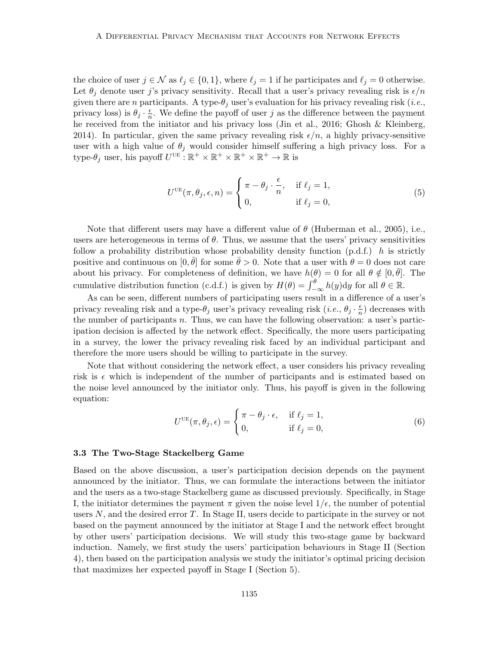the choice of user  $j \in \mathcal{N}$  as  $\ell_j \in \{0, 1\}$ , where  $\ell_j = 1$  if he participates and  $\ell_j = 0$  otherwise. Let  $\theta_i$  denote user j's privacy sensitivity. Recall that a user's privacy revealing risk is  $\epsilon/n$ given there are n participants. A type- $\theta_j$  user's evaluation for his privacy revealing risk (*i.e.*, privacy loss) is  $\theta_j \cdot \frac{\epsilon}{n}$  $\frac{\epsilon}{n}$ . We define the payoff of user j as the difference between the payment he received from the initiator and his privacy loss (Jin et al., 2016; Ghosh & Kleinberg, 2014). In particular, given the same privacy revealing risk  $\epsilon/n$ , a highly privacy-sensitive user with a high value of  $\theta_j$  would consider himself suffering a high privacy loss. For a type- $\theta_j$  user, his payoff  $U^{\text{UE}} : \mathbb{R}^+ \times \mathbb{R}^+ \times \mathbb{R}^+ \times \mathbb{R}^+ \to \mathbb{R}$  is

$$
U^{\text{UE}}(\pi, \theta_j, \epsilon, n) = \begin{cases} \pi - \theta_j \cdot \frac{\epsilon}{n}, & \text{if } \ell_j = 1, \\ 0, & \text{if } \ell_j = 0, \end{cases}
$$
 (5)

Note that different users may have a different value of  $\theta$  (Huberman et al., 2005), i.e., users are heterogeneous in terms of  $\theta$ . Thus, we assume that the users' privacy sensitivities follow a probability distribution whose probability density function  $(p.d.f.)$  h is strictly positive and continuous on  $[0, \bar{\theta}]$  for some  $\bar{\theta} > 0$ . Note that a user with  $\theta = 0$  does not care about his privacy. For completeness of definition, we have  $h(\theta) = 0$  for all  $\theta \notin [0, \bar{\theta}]$ . The cumulative distribution function (c.d.f.) is given by  $H(\theta) = \int_{-\infty}^{\theta} h(y) dy$  for all  $\theta \in \mathbb{R}$ .

As can be seen, different numbers of participating users result in a difference of a user's privacy revealing risk and a type- $\theta_j$  user's privacy revealing risk  $(i.e., \theta_j \cdot \frac{\epsilon}{n})$  $\frac{\epsilon}{n}$ ) decreases with the number of participants n. Thus, we can have the following observation: a user's participation decision is affected by the network effect. Specifically, the more users participating in a survey, the lower the privacy revealing risk faced by an individual participant and therefore the more users should be willing to participate in the survey.

Note that without considering the network effect, a user considers his privacy revealing risk is  $\epsilon$  which is independent of the number of participants and is estimated based on the noise level announced by the initiator only. Thus, his payoff is given in the following equation:

$$
U^{\text{UE}}(\pi, \theta_j, \epsilon) = \begin{cases} \pi - \theta_j \cdot \epsilon, & \text{if } \ell_j = 1, \\ 0, & \text{if } \ell_j = 0, \end{cases}
$$
 (6)

#### 3.3 The Two-Stage Stackelberg Game

Based on the above discussion, a user's participation decision depends on the payment announced by the initiator. Thus, we can formulate the interactions between the initiator and the users as a two-stage Stackelberg game as discussed previously. Specifically, in Stage I, the initiator determines the payment  $\pi$  given the noise level  $1/\epsilon$ , the number of potential users  $N$ , and the desired error  $T$ . In Stage II, users decide to participate in the survey or not based on the payment announced by the initiator at Stage I and the network effect brought by other users' participation decisions. We will study this two-stage game by backward induction. Namely, we first study the users' participation behaviours in Stage II (Section 4), then based on the participation analysis we study the initiator's optimal pricing decision that maximizes her expected payoff in Stage I (Section 5).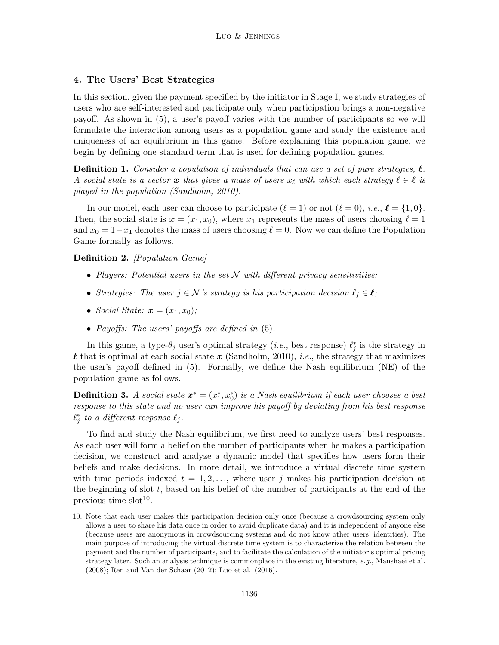# 4. The Users' Best Strategies

In this section, given the payment specified by the initiator in Stage I, we study strategies of users who are self-interested and participate only when participation brings a non-negative payoff. As shown in (5), a user's payoff varies with the number of participants so we will formulate the interaction among users as a population game and study the existence and uniqueness of an equilibrium in this game. Before explaining this population game, we begin by defining one standard term that is used for defining population games.

**Definition 1.** Consider a population of individuals that can use a set of pure strategies,  $\ell$ . A social state is a vector x that gives a mass of users  $x_{\ell}$  with which each strategy  $\ell \in \ell$  is played in the population (Sandholm, 2010).

In our model, each user can choose to participate  $(\ell = 1)$  or not  $(\ell = 0)$ , i.e.,  $\ell = \{1, 0\}$ . Then, the social state is  $x = (x_1, x_0)$ , where  $x_1$  represents the mass of users choosing  $\ell = 1$ and  $x_0 = 1-x_1$  denotes the mass of users choosing  $\ell = 0$ . Now we can define the Population Game formally as follows.

Definition 2. *[Population Game]* 

- Players: Potential users in the set  $N$  with different privacy sensitivities;
- Strategies: The user  $j \in \mathcal{N}$ 's strategy is his participation decision  $\ell_j \in \ell$ ;
- Social State:  $\mathbf{x} = (x_1, x_0)$ ;
- Payoffs: The users' payoffs are defined in  $(5)$ .

In this game, a type- $\theta_j$  user's optimal strategy (*i.e.*, best response)  $\ell_j^*$  is the strategy in  $\ell$  that is optimal at each social state x (Sandholm, 2010), *i.e.*, the strategy that maximizes the user's payoff defined in (5). Formally, we define the Nash equilibrium (NE) of the population game as follows.

**Definition 3.** A social state  $x^* = (x_1^*, x_0^*)$  is a Nash equilibrium if each user chooses a best response to this state and no user can improve his payoff by deviating from his best response  $\ell_j^*$  to a different response  $\ell_j$ .

To find and study the Nash equilibrium, we first need to analyze users' best responses. As each user will form a belief on the number of participants when he makes a participation decision, we construct and analyze a dynamic model that specifies how users form their beliefs and make decisions. In more detail, we introduce a virtual discrete time system with time periods indexed  $t = 1, 2, \ldots$ , where user j makes his participation decision at the beginning of slot  $t$ , based on his belief of the number of participants at the end of the previous time  $slot^{10}$ .

<sup>10.</sup> Note that each user makes this participation decision only once (because a crowdsourcing system only allows a user to share his data once in order to avoid duplicate data) and it is independent of anyone else (because users are anonymous in crowdsourcing systems and do not know other users' identities). The main purpose of introducing the virtual discrete time system is to characterize the relation between the payment and the number of participants, and to facilitate the calculation of the initiator's optimal pricing strategy later. Such an analysis technique is commonplace in the existing literature, e.g., Manshaei et al. (2008); Ren and Van der Schaar (2012); Luo et al. (2016).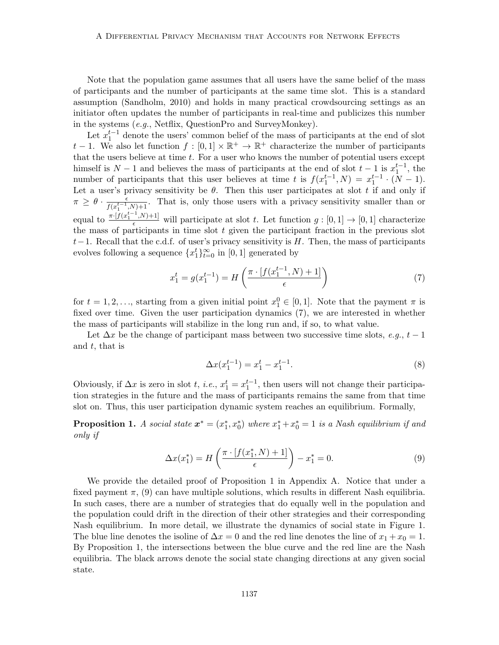Note that the population game assumes that all users have the same belief of the mass of participants and the number of participants at the same time slot. This is a standard assumption (Sandholm, 2010) and holds in many practical crowdsourcing settings as an initiator often updates the number of participants in real-time and publicizes this number in the systems (e.g., Netflix, QuestionPro and SurveyMonkey).

Let  $x_1^{t-1}$  denote the users' common belief of the mass of participants at the end of slot t − 1. We also let function  $f : [0,1] \times \mathbb{R}^+ \to \mathbb{R}^+$  characterize the number of participants that the users believe at time t. For a user who knows the number of potential users except himself is  $N-1$  and believes the mass of participants at the end of slot  $t-1$  is  $x_1^{t-1}$ , the number of participants that this user believes at time t is  $f(x_1^{t-1}, N) = x_1^{t-1} \cdot (N-1)$ . Let a user's privacy sensitivity be  $\theta$ . Then this user participates at slot t if and only if  $\pi \geq \theta \cdot \frac{\epsilon}{f(x^{t-1})}$  $\frac{\epsilon}{f(x_1^{t-1},N)+1}$ . That is, only those users with a privacy sensitivity smaller than or equal to  $\frac{\pi \cdot [f(x_1^{t-1}, N)+1]}{\epsilon}$  will participate at slot t. Let function  $g: [0, 1] \to [0, 1]$  characterize the mass of participants in time slot  $t$  given the participant fraction in the previous slot  $t-1$ . Recall that the c.d.f. of user's privacy sensitivity is H. Then, the mass of participants evolves following a sequence  $\{x_1^t\}_{t=0}^{\infty}$  in  $[0,1]$  generated by

$$
x_1^t = g(x_1^{t-1}) = H\left(\frac{\pi \cdot [f(x_1^{t-1}, N) + 1]}{\epsilon}\right)
$$
 (7)

for  $t = 1, 2, \ldots$ , starting from a given initial point  $x_1^0 \in [0, 1]$ . Note that the payment  $\pi$  is fixed over time. Given the user participation dynamics (7), we are interested in whether the mass of participants will stabilize in the long run and, if so, to what value.

Let  $\Delta x$  be the change of participant mass between two successive time slots, e.g.,  $t-1$ and  $t$ , that is

$$
\Delta x(x_1^{t-1}) = x_1^t - x_1^{t-1}.\tag{8}
$$

Obviously, if  $\Delta x$  is zero in slot t, i.e.,  $x_1^t = x_1^{t-1}$ , then users will not change their participation strategies in the future and the mass of participants remains the same from that time slot on. Thus, this user participation dynamic system reaches an equilibrium. Formally,

**Proposition 1.** A social state  $x^* = (x_1^*, x_0^*)$  where  $x_1^* + x_0^* = 1$  is a Nash equilibrium if and only if

$$
\Delta x(x_1^*) = H\left(\frac{\pi \cdot [f(x_1^*, N) + 1]}{\epsilon}\right) - x_1^* = 0. \tag{9}
$$

We provide the detailed proof of Proposition 1 in Appendix A. Notice that under a fixed payment  $\pi$ , (9) can have multiple solutions, which results in different Nash equilibria. In such cases, there are a number of strategies that do equally well in the population and the population could drift in the direction of their other strategies and their corresponding Nash equilibrium. In more detail, we illustrate the dynamics of social state in Figure 1. The blue line denotes the isoline of  $\Delta x = 0$  and the red line denotes the line of  $x_1 + x_0 = 1$ . By Proposition 1, the intersections between the blue curve and the red line are the Nash equilibria. The black arrows denote the social state changing directions at any given social state.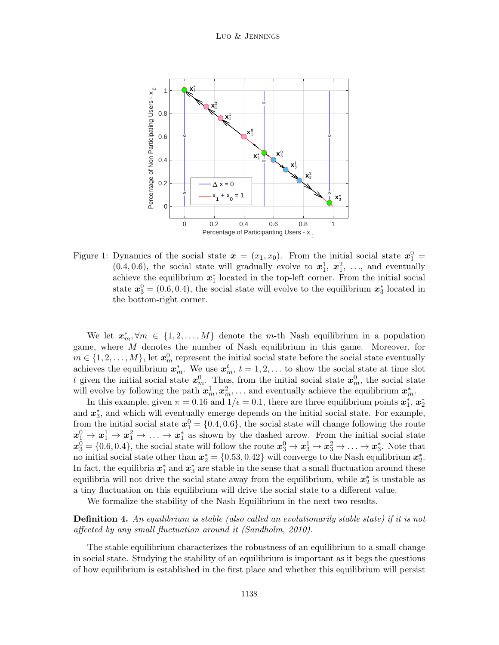

Figure 1: Dynamics of the social state  $\boldsymbol{x} = (x_1, x_0)$ . From the initial social state  $\boldsymbol{x}_1^0 =$  $(0.4, 0.6)$ , the social state will gradually evolve to  $x_1^1, x_1^2, \ldots$ , and eventually achieve the equilibrium  $x_1^*$  located in the top-left corner. From the initial social state  $x_3^0 = (0.6, 0.4)$ , the social state will evolve to the equilibrium  $x_3^*$  located in the bottom-right corner.

We let  $x_m^*, \forall m \in \{1, 2, ..., M\}$  denote the m-th Nash equilibrium in a population game, where M denotes the number of Nash equilibrium in this game. Moreover, for  $m \in \{1, 2, \ldots, M\}$ , let  $\boldsymbol{x}_m^0$  represent the initial social state before the social state eventually achieves the equilibrium  $x_m^*$ . We use  $x_m^t$ ,  $t = 1, 2, \ldots$  to show the social state at time slot t given the initial social state  $x_m^0$ . Thus, from the initial social state  $x_m^0$ , the social state will evolve by following the path  $x_m^1, x_m^2, \ldots$  and eventually achieve the equilibrium  $x_m^*$ .

In this example, given  $\pi = 0.16$  and  $1/\epsilon = 0.1$ , there are three equilibrium points  $x_1^*, x_2^*$ and  $x_3^*$ , and which will eventually emerge depends on the initial social state. For example, from the initial social state  $x_1^0 = \{0.4, 0.6\}$ , the social state will change following the route  $x_1^0 \rightarrow x_1^1 \rightarrow x_1^2 \rightarrow \ldots \rightarrow x_1^*$  as shown by the dashed arrow. From the initial social state  $x_3^0 = \{0.6, 0.4\}$ , the social state will follow the route  $x_3^0 \rightarrow x_3^1 \rightarrow x_3^2 \rightarrow \ldots \rightarrow x_3^*$ . Note that no initial social state other than  $x_2^* = \{0.53, 0.42\}$  will converge to the Nash equilibrium  $x_2^*$ . In fact, the equilibria  $x_1^*$  and  $x_3^*$  are stable in the sense that a small fluctuation around these equilibria will not drive the social state away from the equilibrium, while  $x_2^*$  is unstable as a tiny fluctuation on this equilibrium will drive the social state to a different value.

We formalize the stability of the Nash Equilibrium in the next two results.

# **Definition 4.** An equilibrium is stable (also called an evolutionarily stable state) if it is not affected by any small fluctuation around it (Sandholm, 2010).

The stable equilibrium characterizes the robustness of an equilibrium to a small change in social state. Studying the stability of an equilibrium is important as it begs the questions of how equilibrium is established in the first place and whether this equilibrium will persist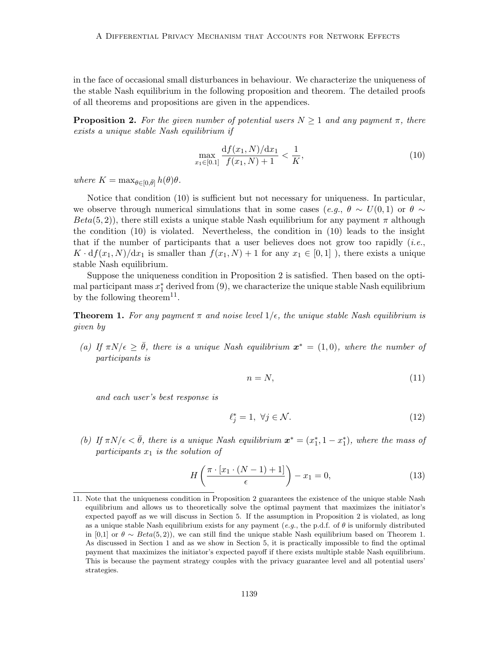in the face of occasional small disturbances in behaviour. We characterize the uniqueness of the stable Nash equilibrium in the following proposition and theorem. The detailed proofs of all theorems and propositions are given in the appendices.

**Proposition 2.** For the given number of potential users  $N \geq 1$  and any payment  $\pi$ , there exists a unique stable Nash equilibrium if

$$
\max_{x_1 \in [0,1]} \frac{\mathrm{d}f(x_1, N)/\mathrm{d}x_1}{f(x_1, N) + 1} < \frac{1}{K},\tag{10}
$$

where  $K = \max_{\theta \in [0,\bar{\theta}]} h(\theta)\theta$ .

Notice that condition (10) is sufficient but not necessary for uniqueness. In particular, we observe through numerical simulations that in some cases (e.g.,  $\theta \sim U(0,1)$  or  $\theta \sim$  $Beta(5, 2)$ , there still exists a unique stable Nash equilibrium for any payment  $\pi$  although the condition (10) is violated. Nevertheless, the condition in (10) leads to the insight that if the number of participants that a user believes does not grow too rapidly (*i.e.*,  $K \cdot df(x_1, N)/dx_1$  is smaller than  $f(x_1, N) + 1$  for any  $x_1 \in [0, 1]$ , there exists a unique stable Nash equilibrium.

Suppose the uniqueness condition in Proposition 2 is satisfied. Then based on the optimal participant mass  $x_1^*$  derived from  $(9)$ , we characterize the unique stable Nash equilibrium by the following theorem<sup>11</sup>.

**Theorem 1.** For any payment  $\pi$  and noise level  $1/\epsilon$ , the unique stable Nash equilibrium is given by

(a) If  $\pi N/\epsilon \geq \bar{\theta}$ , there is a unique Nash equilibrium  $\mathbf{x}^* = (1,0)$ , where the number of participants is

$$
n = N,\tag{11}
$$

and each user's best response is

$$
\ell_j^* = 1, \ \forall j \in \mathcal{N}.\tag{12}
$$

(b) If  $\pi N/\epsilon < \bar{\theta}$ , there is a unique Nash equilibrium  $\mathbf{x}^* = (x_1^*, 1 - x_1^*)$ , where the mass of participants  $x_1$  is the solution of

$$
H\left(\frac{\pi \cdot [x_1 \cdot (N-1) + 1]}{\epsilon}\right) - x_1 = 0,\tag{13}
$$

<sup>11.</sup> Note that the uniqueness condition in Proposition 2 guarantees the existence of the unique stable Nash equilibrium and allows us to theoretically solve the optimal payment that maximizes the initiator's expected payoff as we will discuss in Section 5. If the assumption in Proposition 2 is violated, as long as a unique stable Nash equilibrium exists for any payment (e.g., the p.d.f. of  $\theta$  is uniformly distributed in [0,1] or  $\theta \sim Beta(5, 2)$ , we can still find the unique stable Nash equilibrium based on Theorem 1. As discussed in Section 1 and as we show in Section 5, it is practically impossible to find the optimal payment that maximizes the initiator's expected payoff if there exists multiple stable Nash equilibrium. This is because the payment strategy couples with the privacy guarantee level and all potential users' strategies.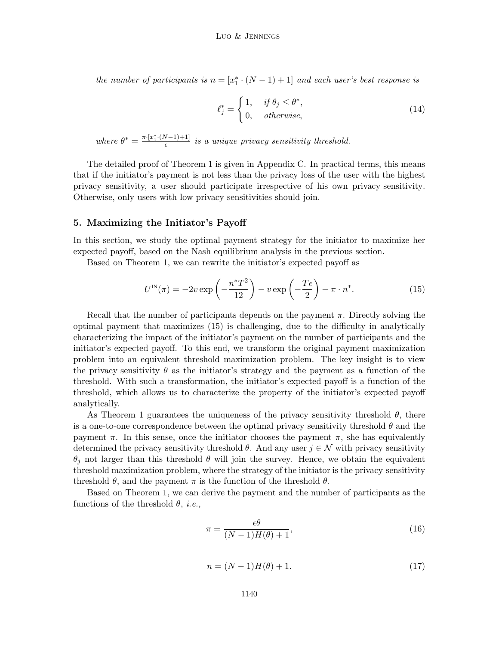the number of participants is  $n = [x_1^* \cdot (N-1) + 1]$  and each user's best response is

$$
\ell_j^* = \begin{cases} 1, & \text{if } \theta_j \le \theta^*, \\ 0, & \text{otherwise,} \end{cases}
$$
 (14)

where  $\theta^* = \frac{\pi \cdot [x_1^* \cdot (N-1)+1]}{\epsilon}$  $\frac{\sqrt{1-\frac{1}{1-\frac{1}{1-\frac{1}{1-\frac{1}{1-\frac{1}{1-\frac{1}{1-\frac{1}{1-\frac{1}{1-\frac{1}{1-\frac{1}{1-\frac{1}{1-\frac{1}{1-\frac{1}{1-\frac{1}{1-\frac{1}{1-\frac{1}{1-\frac{1}{1-\frac{1}{1-\frac{1}{1-\frac{1}{1-\frac{1}{1-\frac{1}{1-\frac{1}{1-\frac{1}{1-\frac{1}{1-\frac{1}{1-\frac{1}{1-\frac{1}{1-\frac{1}{1-\frac{1}{1-\frac{1}{1-\frac{1}{1-\frac{1}{1-\frac{1}{1-\frac{1}{1-\frac{1$ 

The detailed proof of Theorem 1 is given in Appendix C. In practical terms, this means that if the initiator's payment is not less than the privacy loss of the user with the highest privacy sensitivity, a user should participate irrespective of his own privacy sensitivity. Otherwise, only users with low privacy sensitivities should join.

#### 5. Maximizing the Initiator's Payoff

In this section, we study the optimal payment strategy for the initiator to maximize her expected payoff, based on the Nash equilibrium analysis in the previous section.

Based on Theorem 1, we can rewrite the initiator's expected payoff as

$$
U^{\text{IN}}(\pi) = -2v \exp\left(-\frac{n^*T^2}{12}\right) - v \exp\left(-\frac{T\epsilon}{2}\right) - \pi \cdot n^*.
$$
 (15)

Recall that the number of participants depends on the payment  $\pi$ . Directly solving the optimal payment that maximizes (15) is challenging, due to the difficulty in analytically characterizing the impact of the initiator's payment on the number of participants and the initiator's expected payoff. To this end, we transform the original payment maximization problem into an equivalent threshold maximization problem. The key insight is to view the privacy sensitivity  $\theta$  as the initiator's strategy and the payment as a function of the threshold. With such a transformation, the initiator's expected payoff is a function of the threshold, which allows us to characterize the property of the initiator's expected payoff analytically.

As Theorem 1 guarantees the uniqueness of the privacy sensitivity threshold  $\theta$ , there is a one-to-one correspondence between the optimal privacy sensitivity threshold  $\theta$  and the payment  $\pi$ . In this sense, once the initiator chooses the payment  $\pi$ , she has equivalently determined the privacy sensitivity threshold  $\theta$ . And any user  $j \in \mathcal{N}$  with privacy sensitivity  $\theta_i$  not larger than this threshold  $\theta$  will join the survey. Hence, we obtain the equivalent threshold maximization problem, where the strategy of the initiator is the privacy sensitivity threshold  $\theta$ , and the payment  $\pi$  is the function of the threshold  $\theta$ .

Based on Theorem 1, we can derive the payment and the number of participants as the functions of the threshold  $\theta$ , *i.e.*,

$$
\pi = \frac{\epsilon \theta}{(N-1)H(\theta) + 1},\tag{16}
$$

$$
n = (N - 1)H(\theta) + 1.
$$
\n(17)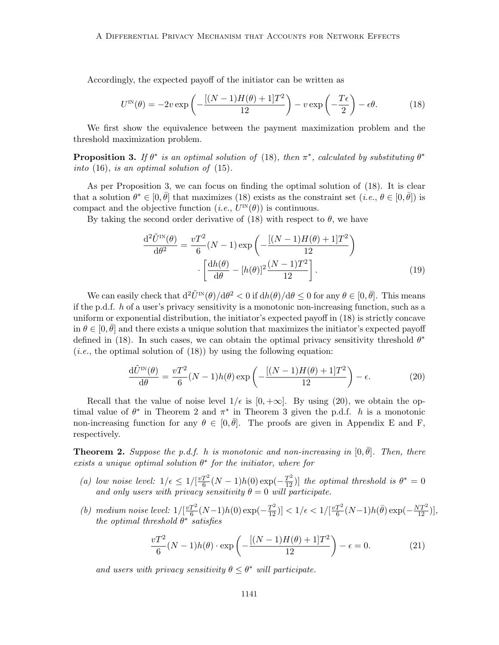Accordingly, the expected payoff of the initiator can be written as

$$
U^{\text{IN}}(\theta) = -2v \exp\left(-\frac{[(N-1)H(\theta) + 1]T^2}{12}\right) - v \exp\left(-\frac{T\epsilon}{2}\right) - \epsilon\theta. \tag{18}
$$

We first show the equivalence between the payment maximization problem and the threshold maximization problem.

**Proposition 3.** If  $\theta^*$  is an optimal solution of (18), then  $\pi^*$ , calculated by substituting  $\theta^*$ into  $(16)$ , is an optimal solution of  $(15)$ .

As per Proposition 3, we can focus on finding the optimal solution of (18). It is clear that a solution  $\theta^* \in [0, \bar{\theta}]$  that maximizes (18) exists as the constraint set  $(i.e., \theta \in [0, \bar{\theta}])$  is compact and the objective function  $(i.e., U^{\text{IN}}(\theta))$  is continuous.

By taking the second order derivative of (18) with respect to  $\theta$ , we have

$$
\frac{\mathrm{d}^2 \tilde{U}^{\text{IN}}(\theta)}{\mathrm{d}\theta^2} = \frac{vT^2}{6}(N-1)\exp\left(-\frac{[(N-1)H(\theta) + 1]T^2}{12}\right)
$$

$$
\cdot \left[\frac{\mathrm{d}h(\theta)}{\mathrm{d}\theta} - [h(\theta)]^2 \frac{(N-1)T^2}{12}\right].
$$
(19)

We can easily check that  $d^2\tilde{U}^{IN}(\theta)/d\theta^2 < 0$  if  $dh(\theta)/d\theta \leq 0$  for any  $\theta \in [0, \bar{\theta}]$ . This means if the p.d.f. h of a user's privacy sensitivity is a monotonic non-increasing function, such as a uniform or exponential distribution, the initiator's expected payoff in (18) is strictly concave in  $\theta \in [0, \bar{\theta}]$  and there exists a unique solution that maximizes the initiator's expected payoff defined in (18). In such cases, we can obtain the optimal privacy sensitivity threshold  $\theta^*$ (*i.e.*, the optimal solution of  $(18)$ ) by using the following equation:

$$
\frac{\mathrm{d}\tilde{U}^{\text{IN}}(\theta)}{\mathrm{d}\theta} = \frac{vT^2}{6}(N-1)h(\theta)\exp\left(-\frac{[(N-1)H(\theta)+1]T^2}{12}\right) - \epsilon.
$$
 (20)

Recall that the value of noise level  $1/\epsilon$  is [0,  $+\infty$ ]. By using (20), we obtain the optimal value of  $\theta^*$  in Theorem 2 and  $\pi^*$  in Theorem 3 given the p.d.f. h is a monotonic non-increasing function for any  $\theta \in [0, \bar{\theta}]$ . The proofs are given in Appendix E and F, respectively.

**Theorem 2.** Suppose the p.d.f. h is monotonic and non-increasing in  $[0, \bar{\theta}]$ . Then, there exists a unique optimal solution  $\theta^*$  for the initiator, where for

- (a) low noise level:  $1/\epsilon \leq 1/[\frac{vT^2}{6}]$  $\frac{T^2}{6}(N-1)h(0) \exp(-\frac{T^2}{12})$ ] the optimal threshold is  $\theta^* = 0$ and only users with privacy sensitivity  $\theta = 0$  will participate.
- (b) medium noise level:  $1/[\frac{vT^2}{6}]$  $\frac{T^2}{6}(N-1)h(0)\exp(-\frac{T^2}{12})] < 1/\epsilon < 1/[\frac{vT^2}{6}]$  $\frac{T^2}{6}(N-1)h(\bar{\theta})\exp(-\frac{NT^2}{12})],$ the optimal threshold  $\theta^*$  satisfies

$$
\frac{vT^2}{6}(N-1)h(\theta) \cdot \exp\left(-\frac{[(N-1)H(\theta) + 1]T^2}{12}\right) - \epsilon = 0.
$$
 (21)

and users with privacy sensitivity  $\theta \leq \theta^*$  will participate.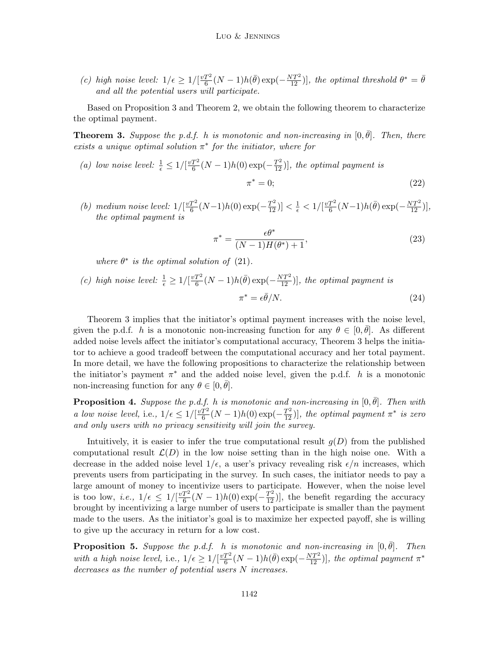(c) high noise level:  $1/\epsilon \geq 1/[\frac{vT^2}{6}]$  $\frac{T^2}{6}(N-1)h(\bar{\theta})\exp(-\frac{NT^2}{12})]$ , the optimal threshold  $\theta^* = \bar{\theta}$ and all the potential users will participate.

Based on Proposition 3 and Theorem 2, we obtain the following theorem to characterize the optimal payment.

**Theorem 3.** Suppose the p.d.f. h is monotonic and non-increasing in  $[0, \bar{\theta}]$ . Then, there exists a unique optimal solution  $\pi^*$  for the initiator, where for

- (a) low noise level:  $\frac{1}{\epsilon} \leq 1/[\frac{vT^2}{6}]$  $\frac{T^2}{6}(N-1)h(0) \exp(-\frac{T^2}{12})]$ , the optimal payment is  $\pi^* = 0$  $* = 0;$  (22)
- (b) medium noise level:  $1/[\frac{vT^2}{6}]$  $\frac{T^2}{6}(N-1)h(0)\exp(-\frac{T^2}{12})] < \frac{1}{\epsilon} < 1/[\frac{vT^2}{6}]$  $\frac{T^2}{6}(N-1)h(\bar{\theta})\exp(-\frac{NT^2}{12})],$ the optimal payment is

$$
\pi^* = \frac{\epsilon \theta^*}{(N-1)H(\theta^*) + 1},
$$
\n(23)

where  $\theta^*$  is the optimal solution of (21).

(c) high noise level:  $\frac{1}{\epsilon} \geq 1/[\frac{vT^2}{6}]$  $\frac{T^2}{6}(N-1)h(\bar{\theta})\exp(-\frac{NT^2}{12})]$ , the optimal payment is  $\pi^* = \epsilon \bar{\theta}/N.$ (24)

Theorem 3 implies that the initiator's optimal payment increases with the noise level, given the p.d.f. h is a monotonic non-increasing function for any  $\theta \in [0, \bar{\theta}]$ . As different added noise levels affect the initiator's computational accuracy, Theorem 3 helps the initiator to achieve a good tradeoff between the computational accuracy and her total payment. In more detail, we have the following propositions to characterize the relationship between the initiator's payment  $\pi^*$  and the added noise level, given the p.d.f. h is a monotonic non-increasing function for any  $\theta \in [0, \bar{\theta}].$ 

**Proposition 4.** Suppose the p.d.f. h is monotonic and non-increasing in  $[0, \bar{\theta}]$ . Then with a low noise level, i.e.,  $1/\epsilon \leq 1/[\frac{vT^2}{6}]$  $\frac{T^2}{6}(N-1)h(0) \exp(-\frac{T^2}{12})]$ , the optimal payment  $\pi^*$  is zero and only users with no privacy sensitivity will join the survey.

Intuitively, it is easier to infer the true computational result  $q(D)$  from the published computational result  $\mathcal{L}(D)$  in the low noise setting than in the high noise one. With a decrease in the added noise level  $1/\epsilon$ , a user's privacy revealing risk  $\epsilon/n$  increases, which prevents users from participating in the survey. In such cases, the initiator needs to pay a large amount of money to incentivize users to participate. However, when the noise level is too low, *i.e.*,  $1/\epsilon \leq 1/[\frac{vT^2}{6}]$  $\frac{T^2}{6}(N-1)h(0) \exp(-\frac{T^2}{12})$ , the benefit regarding the accuracy brought by incentivizing a large number of users to participate is smaller than the payment made to the users. As the initiator's goal is to maximize her expected payoff, she is willing to give up the accuracy in return for a low cost.

**Proposition 5.** Suppose the p.d.f. h is monotonic and non-increasing in  $[0, \bar{\theta}]$ . Then with a high noise level, i.e.,  $1/\epsilon \geq 1/[\frac{vT^2}{6}]$  $\frac{T^2}{6}(N-1)h(\bar{\theta})\exp(-\frac{NT^2}{12})]$ , the optimal payment  $\pi^*$ decreases as the number of potential users N increases.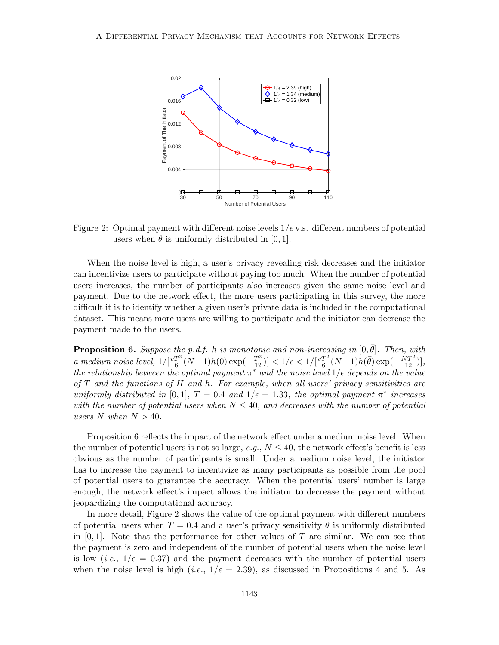

Figure 2: Optimal payment with different noise levels  $1/\epsilon$  v.s. different numbers of potential users when  $\theta$  is uniformly distributed in [0, 1].

When the noise level is high, a user's privacy revealing risk decreases and the initiator can incentivize users to participate without paying too much. When the number of potential users increases, the number of participants also increases given the same noise level and payment. Due to the network effect, the more users participating in this survey, the more difficult it is to identify whether a given user's private data is included in the computational dataset. This means more users are willing to participate and the initiator can decrease the payment made to the users.

**Proposition 6.** Suppose the p.d.f. h is monotonic and non-increasing in  $[0, \bar{\theta}]$ . Then, with a medium noise level,  $1/[\frac{vT^2}{6}]$  $\frac{T^2}{6}(N-1)h(0)\exp(-\frac{T^2}{12})] < 1/\epsilon < 1/[\frac{vT^2}{6}]$  $\frac{T^2}{6}(N-1)h(\bar{\theta})\exp(-\frac{NT^2}{12})],$ the relationship between the optimal payment  $\pi^*$  and the noise level  $1/\epsilon$  depends on the value of  $T$  and the functions of  $H$  and  $h$ . For example, when all users' privacy sensitivities are uniformly distributed in [0,1],  $T = 0.4$  and  $1/\epsilon = 1.33$ , the optimal payment  $\pi^*$  increases with the number of potential users when  $N \leq 40$ , and decreases with the number of potential users N when  $N > 40$ .

Proposition 6 reflects the impact of the network effect under a medium noise level. When the number of potential users is not so large, e.g.,  $N \leq 40$ , the network effect's benefit is less obvious as the number of participants is small. Under a medium noise level, the initiator has to increase the payment to incentivize as many participants as possible from the pool of potential users to guarantee the accuracy. When the potential users' number is large enough, the network effect's impact allows the initiator to decrease the payment without jeopardizing the computational accuracy.

In more detail, Figure 2 shows the value of the optimal payment with different numbers of potential users when  $T = 0.4$  and a user's privacy sensitivity  $\theta$  is uniformly distributed in  $[0, 1]$ . Note that the performance for other values of T are similar. We can see that the payment is zero and independent of the number of potential users when the noise level is low (*i.e.*,  $1/\epsilon = 0.37$ ) and the payment decreases with the number of potential users when the noise level is high (*i.e.*,  $1/\epsilon = 2.39$ ), as discussed in Propositions 4 and 5. As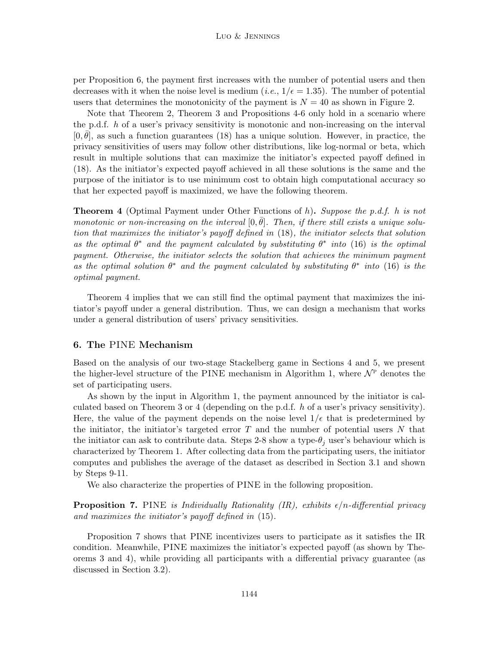per Proposition 6, the payment first increases with the number of potential users and then decreases with it when the noise level is medium (*i.e.*,  $1/\epsilon = 1.35$ ). The number of potential users that determines the monotonicity of the payment is  $N = 40$  as shown in Figure 2.

Note that Theorem 2, Theorem 3 and Propositions 4-6 only hold in a scenario where the p.d.f. h of a user's privacy sensitivity is monotonic and non-increasing on the interval  $[0, \bar{\theta}]$ , as such a function guarantees (18) has a unique solution. However, in practice, the privacy sensitivities of users may follow other distributions, like log-normal or beta, which result in multiple solutions that can maximize the initiator's expected payoff defined in (18). As the initiator's expected payoff achieved in all these solutions is the same and the purpose of the initiator is to use minimum cost to obtain high computational accuracy so that her expected payoff is maximized, we have the following theorem.

**Theorem 4** (Optimal Payment under Other Functions of h). Suppose the p.d.f. h is not monotonic or non-increasing on the interval  $[0, \bar{\theta}]$ . Then, if there still exists a unique solution that maximizes the initiator's payoff defined in (18), the initiator selects that solution as the optimal  $\theta^*$  and the payment calculated by substituting  $\theta^*$  into (16) is the optimal payment. Otherwise, the initiator selects the solution that achieves the minimum payment as the optimal solution  $\theta^*$  and the payment calculated by substituting  $\theta^*$  into (16) is the optimal payment.

Theorem 4 implies that we can still find the optimal payment that maximizes the initiator's payoff under a general distribution. Thus, we can design a mechanism that works under a general distribution of users' privacy sensitivities.

# 6. The PINE Mechanism

Based on the analysis of our two-stage Stackelberg game in Sections 4 and 5, we present the higher-level structure of the PINE mechanism in Algorithm 1, where  $\mathcal{N}^{\text{P}}$  denotes the set of participating users.

As shown by the input in Algorithm 1, the payment announced by the initiator is calculated based on Theorem 3 or 4 (depending on the p.d.f. h of a user's privacy sensitivity). Here, the value of the payment depends on the noise level  $1/\epsilon$  that is predetermined by the initiator, the initiator's targeted error  $T$  and the number of potential users  $N$  that the initiator can ask to contribute data. Steps 2-8 show a type- $\theta_j$  user's behaviour which is characterized by Theorem 1. After collecting data from the participating users, the initiator computes and publishes the average of the dataset as described in Section 3.1 and shown by Steps 9-11.

We also characterize the properties of PINE in the following proposition.

**Proposition 7.** PINE is Individually Rationality (IR), exhibits  $\epsilon/n$ -differential privacy and maximizes the initiator's payoff defined in (15).

Proposition 7 shows that PINE incentivizes users to participate as it satisfies the IR condition. Meanwhile, PINE maximizes the initiator's expected payoff (as shown by Theorems 3 and 4), while providing all participants with a differential privacy guarantee (as discussed in Section 3.2).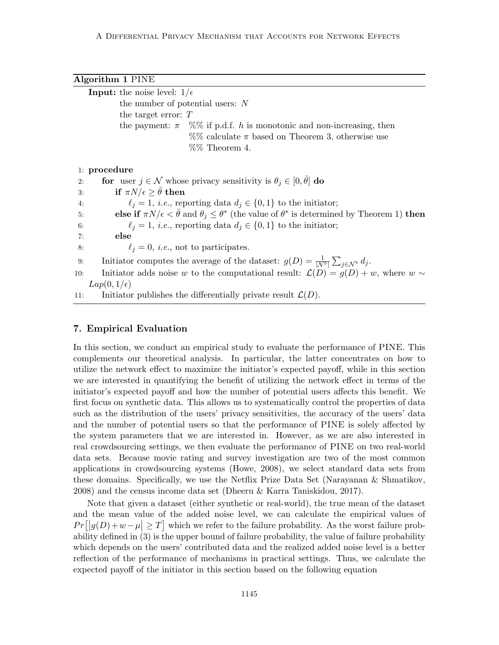| Algorithm 1 PINE                                                                                                                     |
|--------------------------------------------------------------------------------------------------------------------------------------|
| <b>Input:</b> the noise level: $1/\epsilon$                                                                                          |
| the number of potential users: $N$                                                                                                   |
| the target error: $T$                                                                                                                |
| the payment: $\pi \propto \%$ if p.d.f. h is monotonic and non-increasing, then                                                      |
| $\%$ calculate $\pi$ based on Theorem 3, otherwise use                                                                               |
| $%$ % Theorem 4.                                                                                                                     |
|                                                                                                                                      |
| $1:$ procedure                                                                                                                       |
| for user $j \in \mathcal{N}$ whose privacy sensitivity is $\theta_j \in [0, \theta]$ do<br>2:                                        |
| if $\pi N/\epsilon \geq \bar{\theta}$ then<br>3:                                                                                     |
| $\ell_i = 1$ , <i>i.e.</i> , reporting data $d_i \in \{0, 1\}$ to the initiator;<br>4:                                               |
| else if $\pi N/\epsilon < \bar{\theta}$ and $\theta_i \leq \theta^*$ (the value of $\theta^*$ is determined by Theorem 1) then<br>5: |
| $\ell_i = 1$ , <i>i.e.</i> , reporting data $d_i \in \{0, 1\}$ to the initiator;<br>6:                                               |
| else<br>7:                                                                                                                           |
| $\ell_i = 0$ , <i>i.e.</i> , not to participates.<br>8:                                                                              |
| Initiator computes the average of the dataset: $g(D) = \frac{1}{ N^{\rm P} } \sum_{j \in \mathcal{N}^{\rm P}} d_j$ .<br>9:           |
| Initiator adds noise w to the computational result: $\mathcal{L}(D) = g(D) + w$ , where $w \sim$<br>10:                              |
| $Lap(0,1/\epsilon)$                                                                                                                  |
| Initiator publishes the differentially private result $\mathcal{L}(D)$ .<br>11:                                                      |

#### 7. Empirical Evaluation

In this section, we conduct an empirical study to evaluate the performance of PINE. This complements our theoretical analysis. In particular, the latter concentrates on how to utilize the network effect to maximize the initiator's expected payoff, while in this section we are interested in quantifying the benefit of utilizing the network effect in terms of the initiator's expected payoff and how the number of potential users affects this benefit. We first focus on synthetic data. This allows us to systematically control the properties of data such as the distribution of the users' privacy sensitivities, the accuracy of the users' data and the number of potential users so that the performance of PINE is solely affected by the system parameters that we are interested in. However, as we are also interested in real crowdsourcing settings, we then evaluate the performance of PINE on two real-world data sets. Because movie rating and survey investigation are two of the most common applications in crowdsourcing systems (Howe, 2008), we select standard data sets from these domains. Specifically, we use the Netflix Prize Data Set (Narayanan & Shmatikov, 2008) and the census income data set (Dheeru & Karra Taniskidou, 2017).

Note that given a dataset (either synthetic or real-world), the true mean of the dataset and the mean value of the added noise level, we can calculate the empirical values of  $Pr[|g(D)+w-\mu| \geq T]$  which we refer to the failure probability. As the worst failure probability defined in (3) is the upper bound of failure probability, the value of failure probability which depends on the users' contributed data and the realized added noise level is a better reflection of the performance of mechanisms in practical settings. Thus, we calculate the expected payoff of the initiator in this section based on the following equation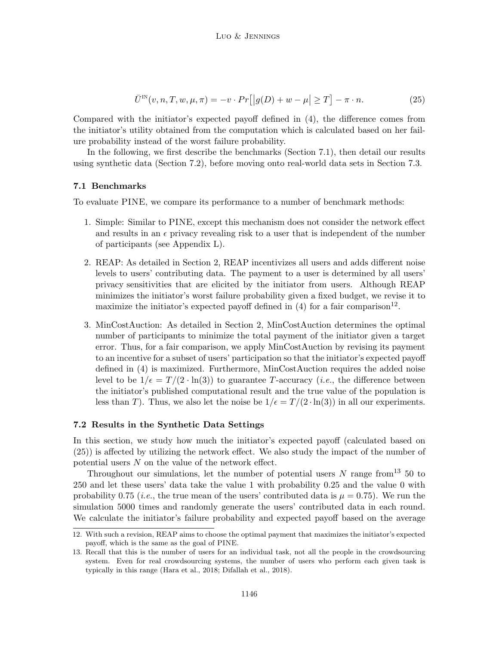$$
\bar{U}^{\text{IN}}(v,n,T,w,\mu,\pi) = -v \cdot Pr\big[|g(D) + w - \mu| \ge T\big] - \pi \cdot n. \tag{25}
$$

Compared with the initiator's expected payoff defined in (4), the difference comes from the initiator's utility obtained from the computation which is calculated based on her failure probability instead of the worst failure probability.

In the following, we first describe the benchmarks (Section 7.1), then detail our results using synthetic data (Section 7.2), before moving onto real-world data sets in Section 7.3.

# 7.1 Benchmarks

To evaluate PINE, we compare its performance to a number of benchmark methods:

- 1. Simple: Similar to PINE, except this mechanism does not consider the network effect and results in an  $\epsilon$  privacy revealing risk to a user that is independent of the number of participants (see Appendix L).
- 2. REAP: As detailed in Section 2, REAP incentivizes all users and adds different noise levels to users' contributing data. The payment to a user is determined by all users' privacy sensitivities that are elicited by the initiator from users. Although REAP minimizes the initiator's worst failure probability given a fixed budget, we revise it to maximize the initiator's expected payoff defined in (4) for a fair comparison<sup>12</sup>.
- 3. MinCostAuction: As detailed in Section 2, MinCostAuction determines the optimal number of participants to minimize the total payment of the initiator given a target error. Thus, for a fair comparison, we apply MinCostAuction by revising its payment to an incentive for a subset of users' participation so that the initiator's expected payoff defined in (4) is maximized. Furthermore, MinCostAuction requires the added noise level to be  $1/\epsilon = T/(2 \cdot \ln(3))$  to guarantee T-accuracy (*i.e.*, the difference between the initiator's published computational result and the true value of the population is less than T). Thus, we also let the noise be  $1/\epsilon = T/(2 \cdot \ln(3))$  in all our experiments.

## 7.2 Results in the Synthetic Data Settings

In this section, we study how much the initiator's expected payoff (calculated based on (25)) is affected by utilizing the network effect. We also study the impact of the number of potential users N on the value of the network effect.

Throughout our simulations, let the number of potential users N range from  $13\,50$  to 250 and let these users' data take the value 1 with probability 0.25 and the value 0 with probability 0.75 (*i.e.*, the true mean of the users' contributed data is  $\mu = 0.75$ ). We run the simulation 5000 times and randomly generate the users' contributed data in each round. We calculate the initiator's failure probability and expected payoff based on the average

<sup>12.</sup> With such a revision, REAP aims to choose the optimal payment that maximizes the initiator's expected payoff, which is the same as the goal of PINE.

<sup>13.</sup> Recall that this is the number of users for an individual task, not all the people in the crowdsourcing system. Even for real crowdsourcing systems, the number of users who perform each given task is typically in this range (Hara et al., 2018; Difallah et al., 2018).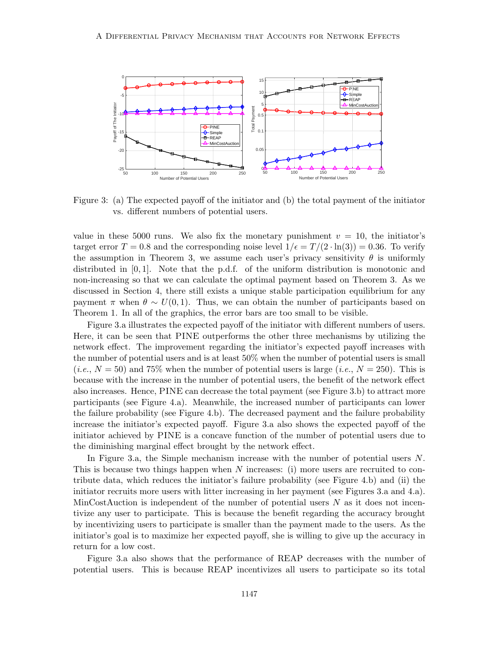

Figure 3: (a) The expected payoff of the initiator and (b) the total payment of the initiator vs. different numbers of potential users.

value in these 5000 runs. We also fix the monetary punishment  $v = 10$ , the initiator's target error  $T = 0.8$  and the corresponding noise level  $1/\epsilon = T/(2 \cdot \ln(3)) = 0.36$ . To verify the assumption in Theorem 3, we assume each user's privacy sensitivity  $\theta$  is uniformly distributed in [0, 1]. Note that the p.d.f. of the uniform distribution is monotonic and non-increasing so that we can calculate the optimal payment based on Theorem 3. As we discussed in Section 4, there still exists a unique stable participation equilibrium for any payment  $\pi$  when  $\theta \sim U(0,1)$ . Thus, we can obtain the number of participants based on Theorem 1. In all of the graphics, the error bars are too small to be visible.

Figure 3.a illustrates the expected payoff of the initiator with different numbers of users. Here, it can be seen that PINE outperforms the other three mechanisms by utilizing the network effect. The improvement regarding the initiator's expected payoff increases with the number of potential users and is at least 50% when the number of potential users is small  $(i.e., N = 50)$  and 75% when the number of potential users is large  $(i.e., N = 250)$ . This is because with the increase in the number of potential users, the benefit of the network effect also increases. Hence, PINE can decrease the total payment (see Figure 3.b) to attract more participants (see Figure 4.a). Meanwhile, the increased number of participants can lower the failure probability (see Figure 4.b). The decreased payment and the failure probability increase the initiator's expected payoff. Figure 3.a also shows the expected payoff of the initiator achieved by PINE is a concave function of the number of potential users due to the diminishing marginal effect brought by the network effect.

In Figure 3.a, the Simple mechanism increase with the number of potential users N. This is because two things happen when  $N$  increases: (i) more users are recruited to contribute data, which reduces the initiator's failure probability (see Figure 4.b) and (ii) the initiator recruits more users with litter increasing in her payment (see Figures 3.a and 4.a). MinCostAuction is independent of the number of potential users  $N$  as it does not incentivize any user to participate. This is because the benefit regarding the accuracy brought by incentivizing users to participate is smaller than the payment made to the users. As the initiator's goal is to maximize her expected payoff, she is willing to give up the accuracy in return for a low cost.

Figure 3.a also shows that the performance of REAP decreases with the number of potential users. This is because REAP incentivizes all users to participate so its total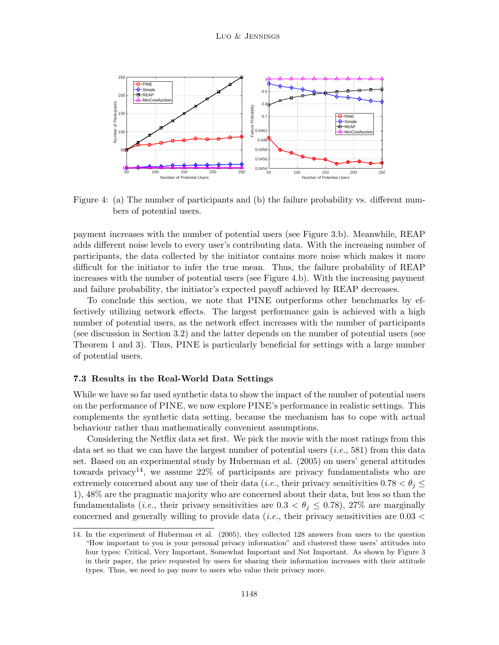

Figure 4: (a) The number of participants and (b) the failure probability vs. different numbers of potential users.

payment increases with the number of potential users (see Figure 3.b). Meanwhile, REAP adds different noise levels to every user's contributing data. With the increasing number of participants, the data collected by the initiator contains more noise which makes it more difficult for the initiator to infer the true mean. Thus, the failure probability of REAP increases with the number of potential users (see Figure 4.b). With the increasing payment and failure probability, the initiator's expected payoff achieved by REAP decreases.

To conclude this section, we note that PINE outperforms other benchmarks by effectively utilizing network effects. The largest performance gain is achieved with a high number of potential users, as the network effect increases with the number of participants (see discussion in Section 3.2) and the latter depends on the number of potential users (see Theorem 1 and 3). Thus, PINE is particularly beneficial for settings with a large number of potential users.

#### 7.3 Results in the Real-World Data Settings

While we have so far used synthetic data to show the impact of the number of potential users on the performance of PINE, we now explore PINE's performance in realistic settings. This complements the synthetic data setting, because the mechanism has to cope with actual behaviour rather than mathematically convenient assumptions.

Considering the Netflix data set first. We pick the movie with the most ratings from this data set so that we can have the largest number of potential users  $(i.e., 581)$  from this data set. Based on an experimental study by Huberman et al. (2005) on users' general attitudes towards privacy<sup>14</sup>, we assume  $22\%$  of participants are privacy fundamentalists who are extremely concerned about any use of their data (*i.e.*, their privacy sensitivities  $0.78 < \theta_i \leq$ 1), 48% are the pragmatic majority who are concerned about their data, but less so than the fundamentalists (*i.e.*, their privacy sensitivities are  $0.3 < \theta_j \leq 0.78$ ), 27% are marginally concerned and generally willing to provide data (*i.e.*, their privacy sensitivities are  $0.03 <$ 

<sup>14.</sup> In the experiment of Huberman et al. (2005), they collected 128 answers from users to the question "How important to you is your personal privacy information" and clustered these users' attitudes into four types: Critical, Very Important, Somewhat Important and Not Important. As shown by Figure 3 in their paper, the price requested by users for sharing their information increases with their attitude types. Thus, we need to pay more to users who value their privacy more.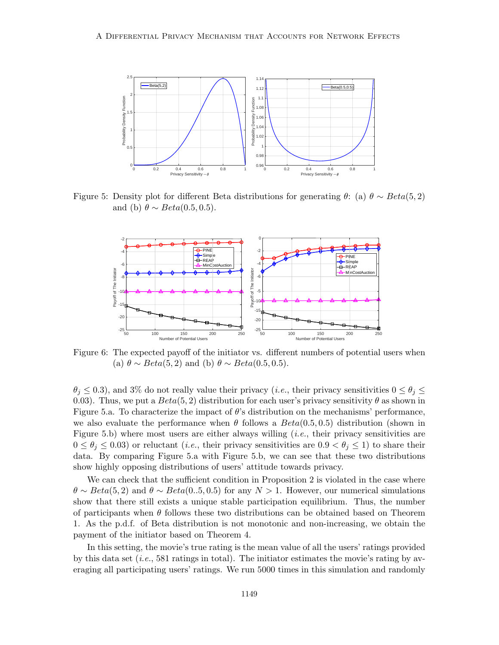

Figure 5: Density plot for different Beta distributions for generating  $\theta$ : (a)  $\theta \sim Beta(5, 2)$ and (b)  $\theta \sim Beta(0.5, 0.5)$ .



Figure 6: The expected payoff of the initiator vs. different numbers of potential users when (a)  $\theta \sim Beta(5, 2)$  and (b)  $\theta \sim Beta(0.5, 0.5)$ .

 $\theta_i \leq 0.3$ ), and 3% do not really value their privacy (*i.e.*, their privacy sensitivities  $0 \leq \theta_j \leq$ 0.03). Thus, we put a  $Beta(5, 2)$  distribution for each user's privacy sensitivity  $\theta$  as shown in Figure 5.a. To characterize the impact of  $\theta$ 's distribution on the mechanisms' performance, we also evaluate the performance when  $\theta$  follows a  $Beta(0.5, 0.5)$  distribution (shown in Figure 5.b) where most users are either always willing  $(i.e.,$  their privacy sensitivities are  $0 \le \theta_i \le 0.03$ ) or reluctant (*i.e.*, their privacy sensitivities are  $0.9 < \theta_i \le 1$ ) to share their data. By comparing Figure 5.a with Figure 5.b, we can see that these two distributions show highly opposing distributions of users' attitude towards privacy.

We can check that the sufficient condition in Proposition 2 is violated in the case where  $\theta \sim Beta(5, 2)$  and  $\theta \sim Beta(0..5, 0.5)$  for any  $N > 1$ . However, our numerical simulations show that there still exists a unique stable participation equilibrium. Thus, the number of participants when  $\theta$  follows these two distributions can be obtained based on Theorem 1. As the p.d.f. of Beta distribution is not monotonic and non-increasing, we obtain the payment of the initiator based on Theorem 4.

In this setting, the movie's true rating is the mean value of all the users' ratings provided by this data set  $(i.e., 581$  ratings in total). The initiator estimates the movie's rating by averaging all participating users' ratings. We run 5000 times in this simulation and randomly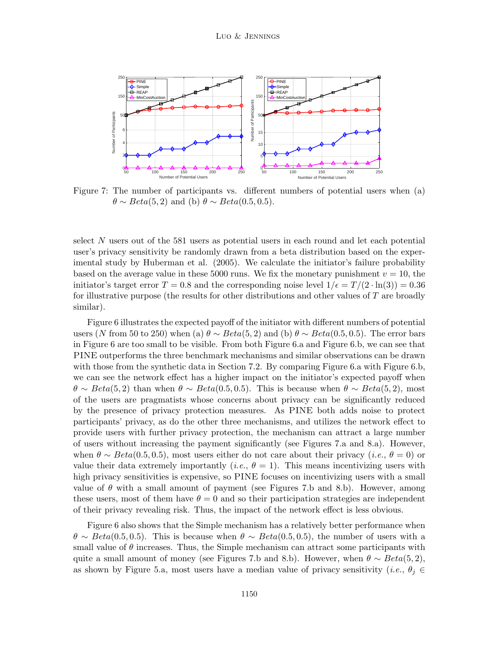

Figure 7: The number of participants vs. different numbers of potential users when (a)  $\theta \sim Beta(5, 2)$  and (b)  $\theta \sim Beta(0.5, 0.5)$ .

select  $N$  users out of the 581 users as potential users in each round and let each potential user's privacy sensitivity be randomly drawn from a beta distribution based on the experimental study by Huberman et al. (2005). We calculate the initiator's failure probability based on the average value in these 5000 runs. We fix the monetary punishment  $v = 10$ , the initiator's target error  $T = 0.8$  and the corresponding noise level  $1/\epsilon = T/(2 \cdot \ln(3)) = 0.36$ for illustrative purpose (the results for other distributions and other values of  $T$  are broadly similar).

Figure 6 illustrates the expected payoff of the initiator with different numbers of potential users (N from 50 to 250) when (a)  $\theta \sim Beta(5, 2)$  and (b)  $\theta \sim Beta(0.5, 0.5)$ . The error bars in Figure 6 are too small to be visible. From both Figure 6.a and Figure 6.b, we can see that PINE outperforms the three benchmark mechanisms and similar observations can be drawn with those from the synthetic data in Section 7.2. By comparing Figure 6.a with Figure 6.b, we can see the network effect has a higher impact on the initiator's expected payoff when  $\theta \sim Beta(5, 2)$  than when  $\theta \sim Beta(0.5, 0.5)$ . This is because when  $\theta \sim Beta(5, 2)$ , most of the users are pragmatists whose concerns about privacy can be significantly reduced by the presence of privacy protection measures. As PINE both adds noise to protect participants' privacy, as do the other three mechanisms, and utilizes the network effect to provide users with further privacy protection, the mechanism can attract a large number of users without increasing the payment significantly (see Figures 7.a and 8.a). However, when  $\theta \sim Beta(0.5, 0.5)$ , most users either do not care about their privacy (*i.e.*,  $\theta = 0$ ) or value their data extremely importantly (*i.e.*,  $\theta = 1$ ). This means incentivizing users with high privacy sensitivities is expensive, so PINE focuses on incentivizing users with a small value of  $\theta$  with a small amount of payment (see Figures 7.b and 8.b). However, among these users, most of them have  $\theta = 0$  and so their participation strategies are independent of their privacy revealing risk. Thus, the impact of the network effect is less obvious.

Figure 6 also shows that the Simple mechanism has a relatively better performance when  $\theta \sim Beta(0.5, 0.5)$ . This is because when  $\theta \sim Beta(0.5, 0.5)$ , the number of users with a small value of  $\theta$  increases. Thus, the Simple mechanism can attract some participants with quite a small amount of money (see Figures 7.b and 8.b). However, when  $\theta \sim Beta(5, 2)$ , as shown by Figure 5.a, most users have a median value of privacy sensitivity (*i.e.*,  $\theta_i \in$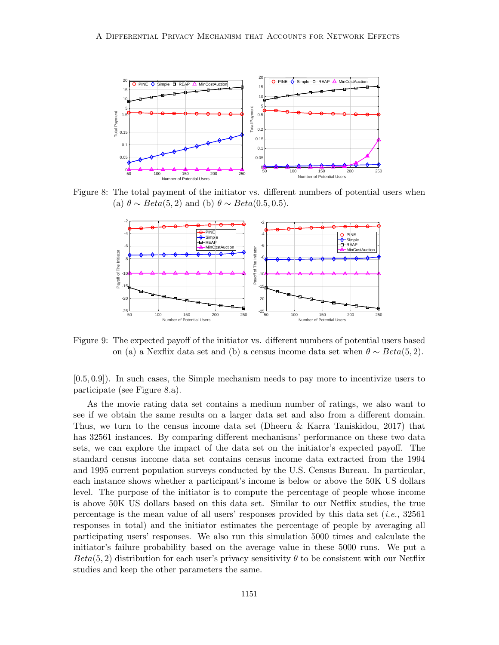

Figure 8: The total payment of the initiator vs. different numbers of potential users when (a)  $\theta \sim Beta(5, 2)$  and (b)  $\theta \sim Beta(0.5, 0.5)$ .



Figure 9: The expected payoff of the initiator vs. different numbers of potential users based on (a) a Nexflix data set and (b) a census income data set when  $\theta \sim Beta(5, 2)$ .

[0.5, 0.9]). In such cases, the Simple mechanism needs to pay more to incentivize users to participate (see Figure 8.a).

As the movie rating data set contains a medium number of ratings, we also want to see if we obtain the same results on a larger data set and also from a different domain. Thus, we turn to the census income data set (Dheeru & Karra Taniskidou, 2017) that has 32561 instances. By comparing different mechanisms' performance on these two data sets, we can explore the impact of the data set on the initiator's expected payoff. The standard census income data set contains census income data extracted from the 1994 and 1995 current population surveys conducted by the U.S. Census Bureau. In particular, each instance shows whether a participant's income is below or above the 50K US dollars level. The purpose of the initiator is to compute the percentage of people whose income is above 50K US dollars based on this data set. Similar to our Netflix studies, the true percentage is the mean value of all users' responses provided by this data set  $(i.e., 32561)$ responses in total) and the initiator estimates the percentage of people by averaging all participating users' responses. We also run this simulation 5000 times and calculate the initiator's failure probability based on the average value in these 5000 runs. We put a  $Beta(5, 2)$  distribution for each user's privacy sensitivity  $\theta$  to be consistent with our Netflix studies and keep the other parameters the same.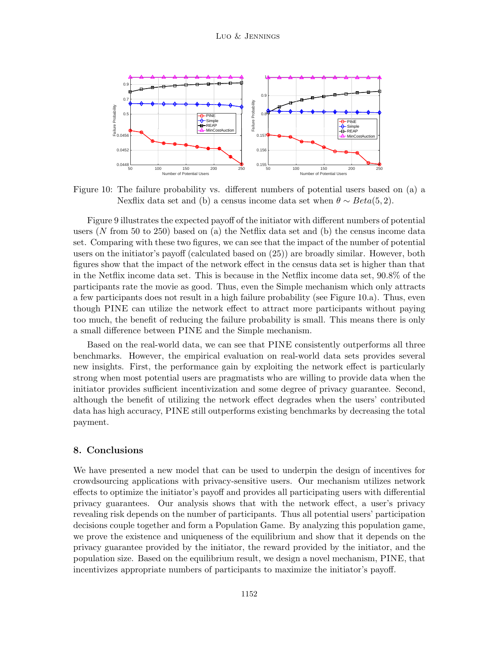

Figure 10: The failure probability vs. different numbers of potential users based on (a) a Nexflix data set and (b) a census income data set when  $\theta \sim Beta(5, 2)$ .

Figure 9 illustrates the expected payoff of the initiator with different numbers of potential users (N from 50 to 250) based on (a) the Netflix data set and (b) the census income data set. Comparing with these two figures, we can see that the impact of the number of potential users on the initiator's payoff (calculated based on (25)) are broadly similar. However, both figures show that the impact of the network effect in the census data set is higher than that in the Netflix income data set. This is because in the Netflix income data set, 90.8% of the participants rate the movie as good. Thus, even the Simple mechanism which only attracts a few participants does not result in a high failure probability (see Figure 10.a). Thus, even though PINE can utilize the network effect to attract more participants without paying too much, the benefit of reducing the failure probability is small. This means there is only a small difference between PINE and the Simple mechanism.

Based on the real-world data, we can see that PINE consistently outperforms all three benchmarks. However, the empirical evaluation on real-world data sets provides several new insights. First, the performance gain by exploiting the network effect is particularly strong when most potential users are pragmatists who are willing to provide data when the initiator provides sufficient incentivization and some degree of privacy guarantee. Second, although the benefit of utilizing the network effect degrades when the users' contributed data has high accuracy, PINE still outperforms existing benchmarks by decreasing the total payment.

#### 8. Conclusions

We have presented a new model that can be used to underpin the design of incentives for crowdsourcing applications with privacy-sensitive users. Our mechanism utilizes network effects to optimize the initiator's payoff and provides all participating users with differential privacy guarantees. Our analysis shows that with the network effect, a user's privacy revealing risk depends on the number of participants. Thus all potential users' participation decisions couple together and form a Population Game. By analyzing this population game, we prove the existence and uniqueness of the equilibrium and show that it depends on the privacy guarantee provided by the initiator, the reward provided by the initiator, and the population size. Based on the equilibrium result, we design a novel mechanism, PINE, that incentivizes appropriate numbers of participants to maximize the initiator's payoff.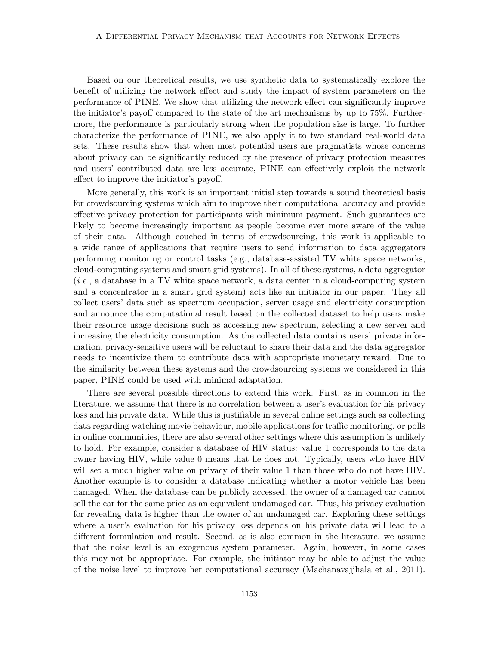Based on our theoretical results, we use synthetic data to systematically explore the benefit of utilizing the network effect and study the impact of system parameters on the performance of PINE. We show that utilizing the network effect can significantly improve the initiator's payoff compared to the state of the art mechanisms by up to 75%. Furthermore, the performance is particularly strong when the population size is large. To further characterize the performance of PINE, we also apply it to two standard real-world data sets. These results show that when most potential users are pragmatists whose concerns about privacy can be significantly reduced by the presence of privacy protection measures and users' contributed data are less accurate, PINE can effectively exploit the network effect to improve the initiator's payoff.

More generally, this work is an important initial step towards a sound theoretical basis for crowdsourcing systems which aim to improve their computational accuracy and provide effective privacy protection for participants with minimum payment. Such guarantees are likely to become increasingly important as people become ever more aware of the value of their data. Although couched in terms of crowdsourcing, this work is applicable to a wide range of applications that require users to send information to data aggregators performing monitoring or control tasks (e.g., database-assisted TV white space networks, cloud-computing systems and smart grid systems). In all of these systems, a data aggregator (i.e., a database in a TV white space network, a data center in a cloud-computing system and a concentrator in a smart grid system) acts like an initiator in our paper. They all collect users' data such as spectrum occupation, server usage and electricity consumption and announce the computational result based on the collected dataset to help users make their resource usage decisions such as accessing new spectrum, selecting a new server and increasing the electricity consumption. As the collected data contains users' private information, privacy-sensitive users will be reluctant to share their data and the data aggregator needs to incentivize them to contribute data with appropriate monetary reward. Due to the similarity between these systems and the crowdsourcing systems we considered in this paper, PINE could be used with minimal adaptation.

There are several possible directions to extend this work. First, as in common in the literature, we assume that there is no correlation between a user's evaluation for his privacy loss and his private data. While this is justifiable in several online settings such as collecting data regarding watching movie behaviour, mobile applications for traffic monitoring, or polls in online communities, there are also several other settings where this assumption is unlikely to hold. For example, consider a database of HIV status: value 1 corresponds to the data owner having HIV, while value 0 means that he does not. Typically, users who have HIV will set a much higher value on privacy of their value 1 than those who do not have HIV. Another example is to consider a database indicating whether a motor vehicle has been damaged. When the database can be publicly accessed, the owner of a damaged car cannot sell the car for the same price as an equivalent undamaged car. Thus, his privacy evaluation for revealing data is higher than the owner of an undamaged car. Exploring these settings where a user's evaluation for his privacy loss depends on his private data will lead to a different formulation and result. Second, as is also common in the literature, we assume that the noise level is an exogenous system parameter. Again, however, in some cases this may not be appropriate. For example, the initiator may be able to adjust the value of the noise level to improve her computational accuracy (Machanavajjhala et al., 2011).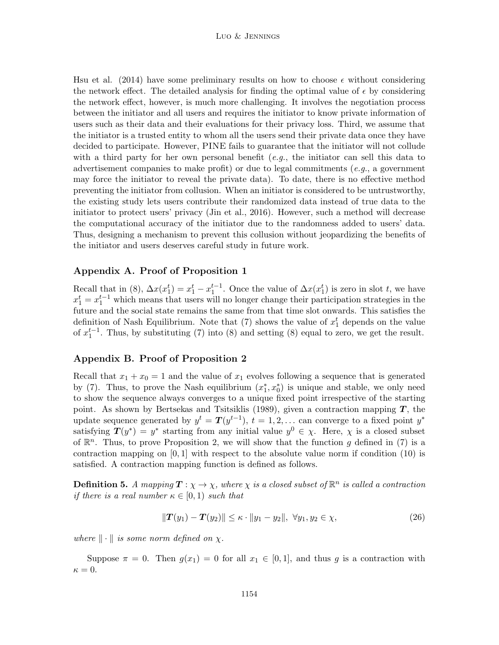Hsu et al. (2014) have some preliminary results on how to choose  $\epsilon$  without considering the network effect. The detailed analysis for finding the optimal value of  $\epsilon$  by considering the network effect, however, is much more challenging. It involves the negotiation process between the initiator and all users and requires the initiator to know private information of users such as their data and their evaluations for their privacy loss. Third, we assume that the initiator is a trusted entity to whom all the users send their private data once they have decided to participate. However, PINE fails to guarantee that the initiator will not collude with a third party for her own personal benefit (e.g., the initiator can sell this data to advertisement companies to make profit) or due to legal commitments (e.g., a government may force the initiator to reveal the private data). To date, there is no effective method preventing the initiator from collusion. When an initiator is considered to be untrustworthy, the existing study lets users contribute their randomized data instead of true data to the initiator to protect users' privacy (Jin et al., 2016). However, such a method will decrease the computational accuracy of the initiator due to the randomness added to users' data. Thus, designing a mechanism to prevent this collusion without jeopardizing the benefits of the initiator and users deserves careful study in future work.

# Appendix A. Proof of Proposition 1

Recall that in (8),  $\Delta x(x_1^t) = x_1^t - x_1^{t-1}$ . Once the value of  $\Delta x(x_1^t)$  is zero in slot t, we have  $x_1^t = x_1^{t-1}$  which means that users will no longer change their participation strategies in the future and the social state remains the same from that time slot onwards. This satisfies the definition of Nash Equilibrium. Note that  $(7)$  shows the value of  $x_1^t$  depends on the value of  $x_1^{t-1}$ . Thus, by substituting (7) into (8) and setting (8) equal to zero, we get the result.

#### Appendix B. Proof of Proposition 2

Recall that  $x_1 + x_0 = 1$  and the value of  $x_1$  evolves following a sequence that is generated by (7). Thus, to prove the Nash equilibrium  $(x_1^*, x_0^*)$  is unique and stable, we only need to show the sequence always converges to a unique fixed point irrespective of the starting point. As shown by Bertsekas and Tsitsiklis (1989), given a contraction mapping  $T$ , the update sequence generated by  $y^t = T(y^{t-1}), t = 1, 2, ...$  can converge to a fixed point  $y^*$ satisfying  $T(y^*) = y^*$  starting from any initial value  $y^0 \in \chi$ . Here,  $\chi$  is a closed subset of  $\mathbb{R}^n$ . Thus, to prove Proposition 2, we will show that the function g defined in (7) is a contraction mapping on  $[0, 1]$  with respect to the absolute value norm if condition  $(10)$  is satisfied. A contraction mapping function is defined as follows.

**Definition 5.** A mapping  $\mathbf{T} : \chi \to \chi$ , where  $\chi$  is a closed subset of  $\mathbb{R}^n$  is called a contraction *if there is a real number*  $\kappa \in [0,1)$  *such that* 

$$
||T(y_1) - T(y_2)|| \le \kappa \cdot ||y_1 - y_2||, \ \forall y_1, y_2 \in \chi,
$$
\n(26)

where  $\|\cdot\|$  is some norm defined on  $\chi$ .

Suppose  $\pi = 0$ . Then  $g(x_1) = 0$  for all  $x_1 \in [0,1]$ , and thus g is a contraction with  $\kappa = 0.$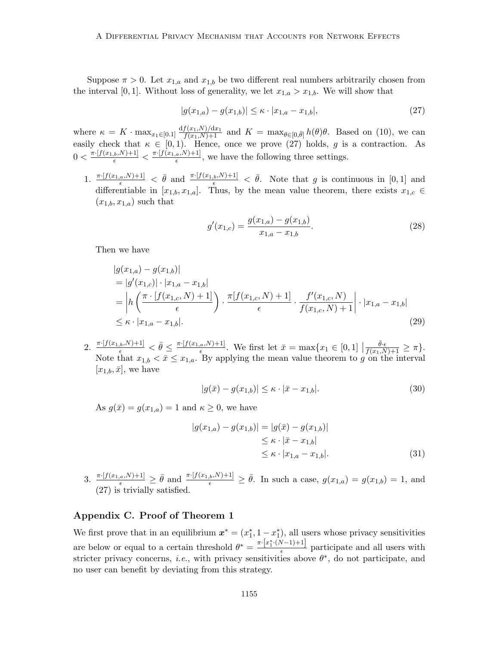Suppose  $\pi > 0$ . Let  $x_{1,a}$  and  $x_{1,b}$  be two different real numbers arbitrarily chosen from the interval [0, 1]. Without loss of generality, we let  $x_{1,a} > x_{1,b}$ . We will show that

$$
|g(x_{1,a}) - g(x_{1,b})| \le \kappa \cdot |x_{1,a} - x_{1,b}|,\tag{27}
$$

where  $\kappa = K \cdot \max_{x_1 \in [0,1]} \frac{df(x_1,N)/dx_1}{f(x_1,N)+1}$  and  $K = \max_{\theta \in [0,\bar{\theta}]} h(\theta)\theta$ . Based on (10), we can easily check that  $\kappa \in [0,1)$ . Hence, once we prove (27) holds, g is a contraction. As  $0 < \frac{\pi \cdot [f(x_{1,b},N)+1]}{\epsilon} < \frac{\pi \cdot [f(x_{1,a},N)+1]}{\epsilon}$  $\frac{a}{\epsilon}$ , we have the following three settings.

1.  $\frac{\pi \cdot [f(x_{1,a},N)+1]}{\epsilon} < \bar{\theta}$  and  $\frac{\pi \cdot [f(x_{1,b},N)+1]}{\epsilon} < \bar{\theta}$ . Note that g is continuous in [0, 1] and differentiable in  $[x_{1,b}, x_{1,a}]$ . Thus, by the mean value theorem, there exists  $x_{1,c} \in$  $(x_{1,b}, x_{1,a})$  such that

$$
g'(x_{1,c}) = \frac{g(x_{1,a}) - g(x_{1,b})}{x_{1,a} - x_{1,b}}.\tag{28}
$$

Then we have

$$
|g(x_{1,a}) - g(x_{1,b})|
$$
  
\n
$$
= |g'(x_{1,c})| \cdot |x_{1,a} - x_{1,b}|
$$
  
\n
$$
= |h\left(\frac{\pi \cdot [f(x_{1,c}, N) + 1]}{\epsilon}\right) \cdot \frac{\pi [f(x_{1,c}, N) + 1]}{\epsilon} \cdot \frac{f'(x_{1,c}, N)}{f(x_{1,c}, N) + 1} | \cdot |x_{1,a} - x_{1,b}|
$$
  
\n
$$
\leq \kappa \cdot |x_{1,a} - x_{1,b}|.
$$
\n(29)

2.  $\frac{\pi \cdot [f(x_{1,b},N)+1]}{\epsilon}<\bar{\theta}\leq \frac{\pi \cdot [f(x_{1,a},N)+1]}{\epsilon}$  $\frac{a_{\alpha}N+1}{\epsilon}$ . We first let  $\bar{x} = \max\{x_1 \in [0,1] \mid \epsilon\}$  $\frac{\bar{\theta}\cdot \epsilon}{f(x_1,N)+1} \geq \pi$ . Note that  $x_{1,b} < \bar{x} \leq x_{1,a}$ . By applying the mean value theorem to g on the interval  $[x_{1,b}, \bar{x}],$  we have

$$
|g(\bar{x}) - g(x_{1,b})| \le \kappa \cdot |\bar{x} - x_{1,b}|. \tag{30}
$$

As  $g(\bar{x}) = g(x_{1,a}) = 1$  and  $\kappa \geq 0$ , we have

$$
|g(x_{1,a}) - g(x_{1,b})| = |g(\bar{x}) - g(x_{1,b})|
$$
  
\n
$$
\leq \kappa \cdot |\bar{x} - x_{1,b}|
$$
  
\n
$$
\leq \kappa \cdot |x_{1,a} - x_{1,b}|.
$$
\n(31)

3.  $\frac{\pi \cdot [f(x_{1,a},N)+1]}{\epsilon} \geq \bar{\theta}$  and  $\frac{\pi \cdot [f(x_{1,b},N)+1]}{\epsilon} \geq \bar{\theta}$ . In such a case,  $g(x_{1,a}) = g(x_{1,b}) = 1$ , and (27) is trivially satisfied.

# Appendix C. Proof of Theorem 1

We first prove that in an equilibrium  $x^* = (x_1^*, 1 - x_1^*)$ , all users whose privacy sensitivities are below or equal to a certain threshold  $\theta^* = \frac{\pi \cdot [x_1^* \cdot (N-1)+1]}{\epsilon}$  $\frac{\sqrt{p-1}}{e}$  participate and all users with stricter privacy concerns, *i.e.*, with privacy sensitivities above  $\theta^*$ , do not participate, and no user can benefit by deviating from this strategy.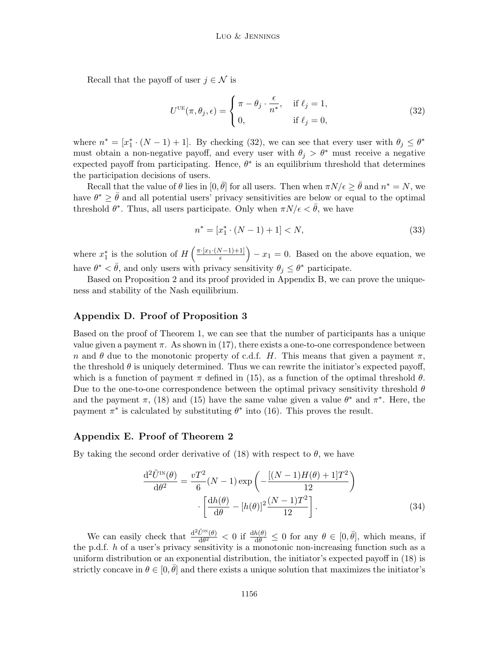Recall that the payoff of user  $j \in \mathcal{N}$  is

$$
U^{\text{UE}}(\pi, \theta_j, \epsilon) = \begin{cases} \pi - \theta_j \cdot \frac{\epsilon}{n^*}, & \text{if } \ell_j = 1, \\ 0, & \text{if } \ell_j = 0, \end{cases}
$$
 (32)

where  $n^* = [x_1^* \cdot (N-1) + 1]$ . By checking (32), we can see that every user with  $\theta_j \leq \theta^*$ must obtain a non-negative payoff, and every user with  $\theta_j > \theta^*$  must receive a negative expected payoff from participating. Hence,  $\theta^*$  is an equilibrium threshold that determines the participation decisions of users.

Recall that the value of  $\theta$  lies in  $[0, \bar{\theta}]$  for all users. Then when  $\pi N/\epsilon \geq \bar{\theta}$  and  $n^* = N$ , we have  $\theta^* \geq \bar{\theta}$  and all potential users' privacy sensitivities are below or equal to the optimal threshold  $\theta^*$ . Thus, all users participate. Only when  $\pi N/\epsilon < \bar{\theta}$ , we have

$$
n^* = [x_1^* \cdot (N - 1) + 1] < N,\tag{33}
$$

where  $x_1^*$  is the solution of  $H\left(\frac{\pi\cdot[x_1\cdot(N-1)+1]}{\epsilon}\right)$  $\left(\frac{N-1}{\epsilon}+1\right)^{N-1}$  = 0. Based on the above equation, we have  $\theta^* < \bar{\theta}$ , and only users with privacy sensitivity  $\theta_j \leq \theta^*$  participate.

Based on Proposition 2 and its proof provided in Appendix B, we can prove the uniqueness and stability of the Nash equilibrium.

#### Appendix D. Proof of Proposition 3

Based on the proof of Theorem 1, we can see that the number of participants has a unique value given a payment  $\pi$ . As shown in (17), there exists a one-to-one correspondence between n and  $\theta$  due to the monotonic property of c.d.f. H. This means that given a payment  $\pi$ , the threshold  $\theta$  is uniquely determined. Thus we can rewrite the initiator's expected payoff, which is a function of payment  $\pi$  defined in (15), as a function of the optimal threshold  $\theta$ . Due to the one-to-one correspondence between the optimal privacy sensitivity threshold  $\theta$ and the payment  $\pi$ , (18) and (15) have the same value given a value  $\theta^*$  and  $\pi^*$ . Here, the payment  $\pi^*$  is calculated by substituting  $\theta^*$  into (16). This proves the result.

#### Appendix E. Proof of Theorem 2

By taking the second order derivative of (18) with respect to  $\theta$ , we have

$$
\frac{\mathrm{d}^2 \tilde{U}^{\text{IN}}(\theta)}{\mathrm{d}\theta^2} = \frac{vT^2}{6}(N-1)\exp\left(-\frac{[(N-1)H(\theta)+1]T^2}{12}\right)
$$

$$
\cdot \left[\frac{\mathrm{d}h(\theta)}{\mathrm{d}\theta} - [h(\theta)]^2 \frac{(N-1)T^2}{12}\right].
$$
(34)

We can easily check that  $\frac{d^2 \tilde{U}^{IN}(\theta)}{d\theta^2}$  $\frac{U^{IN}(\theta)}{d\theta^2} < 0$  if  $\frac{dh(\theta)}{d\theta} \leq 0$  for any  $\theta \in [0, \bar{\theta}],$  which means, if the p.d.f.  $h$  of a user's privacy sensitivity is a monotonic non-increasing function such as a uniform distribution or an exponential distribution, the initiator's expected payoff in (18) is strictly concave in  $\theta \in [0, \bar{\theta}]$  and there exists a unique solution that maximizes the initiator's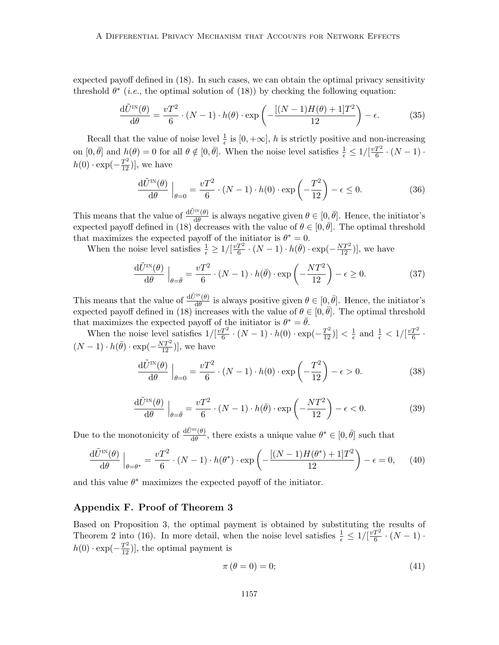expected payoff defined in (18). In such cases, we can obtain the optimal privacy sensitivity threshold  $\theta^*$  (*i.e.*, the optimal solution of (18)) by checking the following equation:

$$
\frac{\mathrm{d}\tilde{U}^{\text{IN}}(\theta)}{\mathrm{d}\theta} = \frac{vT^2}{6} \cdot (N-1) \cdot h(\theta) \cdot \exp\left(-\frac{[(N-1)H(\theta) + 1]T^2}{12}\right) - \epsilon. \tag{35}
$$

Recall that the value of noise level  $\frac{1}{\epsilon}$  is  $[0, +\infty]$ , h is strictly positive and non-increasing on  $[0, \bar{\theta}]$  and  $h(\theta) = 0$  for all  $\theta \notin [0, \bar{\theta}]$ . When the noise level satisfies  $\frac{1}{\epsilon} \leq 1/[\frac{vT^2}{6}]$  $\frac{T^2}{6} \cdot (N-1)$  ·  $h(0) \cdot \exp(-\frac{T^2}{12})]$ , we have

$$
\frac{\mathrm{d}\tilde{U}^{\text{IN}}(\theta)}{\mathrm{d}\theta}\Big|_{\theta=0} = \frac{vT^2}{6} \cdot (N-1) \cdot h(0) \cdot \exp\left(-\frac{T^2}{12}\right) - \epsilon \le 0. \tag{36}
$$

This means that the value of  $\frac{d\tilde{U}^{in}(\theta)}{d\theta}$  is always negative given  $\theta \in [0, \bar{\theta}]$ . Hence, the initiator's expected payoff defined in (18) decreases with the value of  $\theta \in [0, \bar{\theta}]$ . The optimal threshold that maximizes the expected payoff of the initiator is  $\theta^* = 0$ .

When the noise level satisfies  $\frac{1}{\epsilon} \geq 1/[\frac{vT^2}{6}]$  $\frac{T^2}{6} \cdot (N-1) \cdot h(\bar{\theta}) \cdot \exp(-\frac{NT^2}{12})]$ , we have

$$
\frac{\mathrm{d}\tilde{U}^{\text{IN}}(\theta)}{\mathrm{d}\theta}\Big|_{\theta=\bar{\theta}} = \frac{vT^2}{6} \cdot (N-1) \cdot h(\bar{\theta}) \cdot \exp\left(-\frac{NT^2}{12}\right) - \epsilon \ge 0. \tag{37}
$$

This means that the value of  $\frac{d\tilde{U}^{iN}(\theta)}{d\theta}$  is always positive given  $\theta \in [0, \bar{\theta}]$ . Hence, the initiator's expected payoff defined in (18) increases with the value of  $\theta \in [0, \bar{\theta}]$ . The optimal threshold that maximizes the expected payoff of the initiator is  $\theta^* = \overline{\theta}$ .

When the noise level satisfies  $1/[\frac{vT^2}{6}]$  $\frac{T^2}{6} \cdot (N-1) \cdot h(0) \cdot \exp(-\frac{T^2}{12})] < \frac{1}{\epsilon}$  $\frac{1}{\epsilon}$  and  $\frac{1}{\epsilon}$  <  $1/[\frac{vT^2}{6}]$  $\frac{I^{\prime 2}}{6}$  .  $(N-1) \cdot h(\bar{\theta}) \cdot \exp(-\frac{NT^2}{12})]$ , we have

$$
\frac{\mathrm{d}\tilde{U}^{\text{IN}}(\theta)}{\mathrm{d}\theta}\Big|_{\theta=0} = \frac{vT^2}{6} \cdot (N-1) \cdot h(0) \cdot \exp\left(-\frac{T^2}{12}\right) - \epsilon > 0. \tag{38}
$$

$$
\frac{\mathrm{d}\tilde{U}^{\text{IN}}(\theta)}{\mathrm{d}\theta}\Big|_{\theta=\bar{\theta}} = \frac{vT^2}{6} \cdot (N-1) \cdot h(\bar{\theta}) \cdot \exp\left(-\frac{NT^2}{12}\right) - \epsilon < 0. \tag{39}
$$

Due to the monotonicity of  $\frac{d\tilde{U}^{IN}(\theta)}{d\theta}$ , there exists a unique value  $\theta^* \in [0, \bar{\theta}]$  such that

$$
\frac{\mathrm{d}\tilde{U}^{\text{IN}}(\theta)}{\mathrm{d}\theta}\Big|_{\theta=\theta^*} = \frac{vT^2}{6} \cdot (N-1) \cdot h(\theta^*) \cdot \exp\left(-\frac{[(N-1)H(\theta^*)+1]T^2}{12}\right) - \epsilon = 0,\tag{40}
$$

and this value  $\theta^*$  maximizes the expected payoff of the initiator.

# Appendix F. Proof of Theorem 3

Based on Proposition 3, the optimal payment is obtained by substituting the results of Theorem 2 into (16). In more detail, when the noise level satisfies  $\frac{1}{\epsilon} \leq 1/[\frac{vT^2}{6}]$  $\frac{T^2}{6} \cdot (N-1)$  ·  $h(0) \cdot \exp(-\frac{T^2}{12})]$ , the optimal payment is

$$
\pi(\theta = 0) = 0; \tag{41}
$$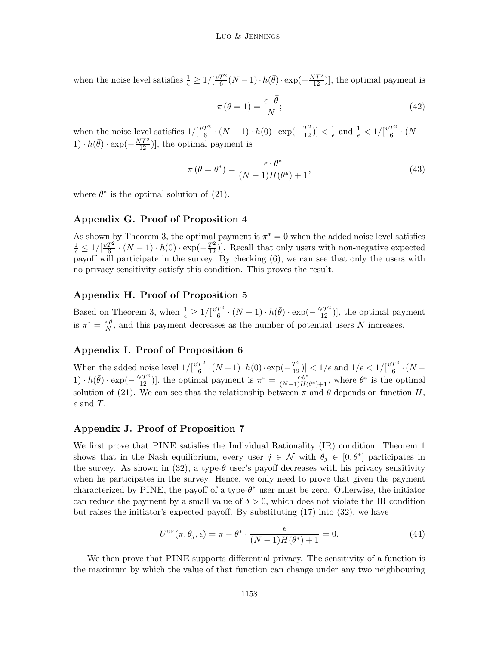when the noise level satisfies  $\frac{1}{\epsilon} \geq 1/[\frac{vT^2}{6}$  $\frac{T^2}{6}(N-1) \cdot h(\bar{\theta}) \cdot \exp(-\frac{NT^2}{12})]$ , the optimal payment is

$$
\pi\left(\theta=1\right)=\frac{\epsilon\cdot\bar{\theta}}{N};\tag{42}
$$

when the noise level satisfies  $1/[\frac{vT^2}{6}]$  $\frac{T^2}{6} \cdot (N-1) \cdot h(0) \cdot \exp(-\frac{T^2}{12})] < \frac{1}{\epsilon}$  $\frac{1}{\epsilon}$  and  $\frac{1}{\epsilon} < 1/[\frac{vT^2}{6}]$  $\frac{T^2}{6} \cdot (N 1) \cdot h(\bar{\theta}) \cdot \exp(-\frac{NT^2}{12})]$ , the optimal payment is

$$
\pi\left(\theta = \theta^*\right) = \frac{\epsilon \cdot \theta^*}{(N-1)H(\theta^*) + 1},\tag{43}
$$

where  $\theta^*$  is the optimal solution of (21).

# Appendix G. Proof of Proposition 4

As shown by Theorem 3, the optimal payment is  $\pi^* = 0$  when the added noise level satisfies  $\frac{1}{\epsilon} \leq 1/[\frac{vT^2}{6}]$  $\frac{T^2}{6} \cdot (N-1) \cdot h(0) \cdot \exp(-\frac{T^2}{12})$ . Recall that only users with non-negative expected payoff will participate in the survey. By checking (6), we can see that only the users with no privacy sensitivity satisfy this condition. This proves the result.

# Appendix H. Proof of Proposition 5

Based on Theorem 3, when  $\frac{1}{\epsilon} \geq 1/[\frac{vT^2}{6}]$  $\frac{T^2}{6} \cdot (N-1) \cdot h(\bar{\theta}) \cdot \exp(-\frac{NT^2}{12})]$ , the optimal payment is  $\pi^* = \frac{\epsilon \cdot \bar{\theta}}{N}$  $\frac{\partial}{\partial N}$ , and this payment decreases as the number of potential users N increases.

# Appendix I. Proof of Proposition 6

When the added noise level  $1/[\frac{vT^2}{6}]$  $\frac{T^2}{6} \cdot (N-1) \cdot h(0) \cdot \exp(-\frac{T^2}{12})] < 1/\epsilon$  and  $1/\epsilon < 1/[\frac{vT^2}{6}]$  $rac{I^2}{6} \cdot (N -$ 1)  $\cdot h(\bar{\theta}) \cdot \exp(-\frac{NT^2}{12})$ , the optimal payment is  $\pi^* = \frac{\epsilon \cdot \theta^*}{(N-1)H(\epsilon)}$  $\frac{\epsilon \cdot \theta^*}{(N-1)H(\theta^*)+1}$ , where  $\theta^*$  is the optimal solution of (21). We can see that the relationship between  $\pi$  and  $\theta$  depends on function H,  $\epsilon$  and T.

# Appendix J. Proof of Proposition 7

We first prove that PINE satisfies the Individual Rationality (IR) condition. Theorem 1 shows that in the Nash equilibrium, every user  $j \in \mathcal{N}$  with  $\theta_j \in [0, \theta^*]$  participates in the survey. As shown in  $(32)$ , a type- $\theta$  user's payoff decreases with his privacy sensitivity when he participates in the survey. Hence, we only need to prove that given the payment characterized by PINE, the payoff of a type- $\theta^*$  user must be zero. Otherwise, the initiator can reduce the payment by a small value of  $\delta > 0$ , which does not violate the IR condition but raises the initiator's expected payoff. By substituting (17) into (32), we have

$$
U^{\text{UE}}(\pi, \theta_j, \epsilon) = \pi - \theta^* \cdot \frac{\epsilon}{(N-1)H(\theta^*) + 1} = 0.
$$
\n(44)

We then prove that PINE supports differential privacy. The sensitivity of a function is the maximum by which the value of that function can change under any two neighbouring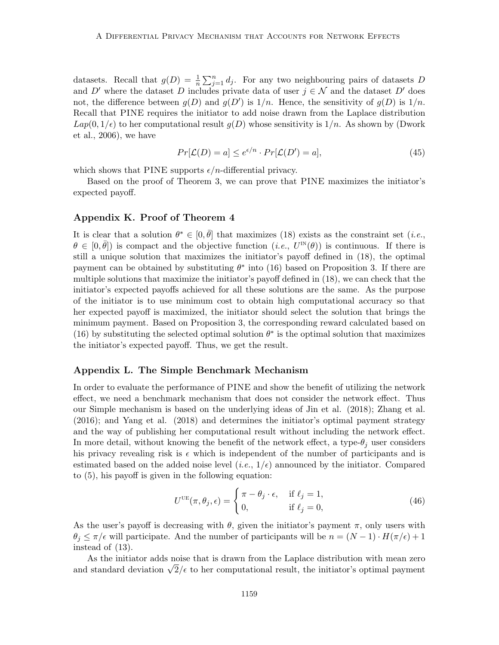datasets. Recall that  $g(D) = \frac{1}{n} \sum_{j=1}^{n} d_j$ . For any two neighbouring pairs of datasets D and D' where the dataset D includes private data of user  $j \in \mathcal{N}$  and the dataset D' does not, the difference between  $g(D)$  and  $g(D')$  is  $1/n$ . Hence, the sensitivity of  $g(D)$  is  $1/n$ . Recall that PINE requires the initiator to add noise drawn from the Laplace distribution  $Lap(0, 1/\epsilon)$  to her computational result  $g(D)$  whose sensitivity is  $1/n$ . As shown by (Dwork et al., 2006), we have

$$
Pr[\mathcal{L}(D) = a] \le e^{\epsilon/n} \cdot Pr[\mathcal{L}(D') = a],\tag{45}
$$

which shows that PINE supports  $\epsilon/n$ -differential privacy.

Based on the proof of Theorem 3, we can prove that PINE maximizes the initiator's expected payoff.

## Appendix K. Proof of Theorem 4

It is clear that a solution  $\theta^* \in [0, \bar{\theta}]$  that maximizes (18) exists as the constraint set (*i.e.*,  $\theta \in [0, \bar{\theta}]$ ) is compact and the objective function  $(i.e., U^{IN}(\theta))$  is continuous. If there is still a unique solution that maximizes the initiator's payoff defined in (18), the optimal payment can be obtained by substituting  $\theta^*$  into (16) based on Proposition 3. If there are multiple solutions that maximize the initiator's payoff defined in (18), we can check that the initiator's expected payoffs achieved for all these solutions are the same. As the purpose of the initiator is to use minimum cost to obtain high computational accuracy so that her expected payoff is maximized, the initiator should select the solution that brings the minimum payment. Based on Proposition 3, the corresponding reward calculated based on (16) by substituting the selected optimal solution  $\theta^*$  is the optimal solution that maximizes the initiator's expected payoff. Thus, we get the result.

#### Appendix L. The Simple Benchmark Mechanism

In order to evaluate the performance of PINE and show the benefit of utilizing the network effect, we need a benchmark mechanism that does not consider the network effect. Thus our Simple mechanism is based on the underlying ideas of Jin et al. (2018); Zhang et al. (2016); and Yang et al. (2018) and determines the initiator's optimal payment strategy and the way of publishing her computational result without including the network effect. In more detail, without knowing the benefit of the network effect, a type- $\theta_i$  user considers his privacy revealing risk is  $\epsilon$  which is independent of the number of participants and is estimated based on the added noise level  $(i.e., 1/\epsilon)$  announced by the initiator. Compared to (5), his payoff is given in the following equation:

$$
U^{\text{UE}}(\pi, \theta_j, \epsilon) = \begin{cases} \pi - \theta_j \cdot \epsilon, & \text{if } \ell_j = 1, \\ 0, & \text{if } \ell_j = 0, \end{cases}
$$
 (46)

As the user's payoff is decreasing with  $\theta$ , given the initiator's payment  $\pi$ , only users with  $\theta_j \leq \pi/\epsilon$  will participate. And the number of participants will be  $n = (N-1) \cdot H(\pi/\epsilon) + 1$ instead of (13).

As the initiator adds noise that is drawn from the Laplace distribution with mean zero As the initiator adds holds that is drawn from the Laplace distribution with mean zero<br>and standard deviation  $\sqrt{2}/\epsilon$  to her computational result, the initiator's optimal payment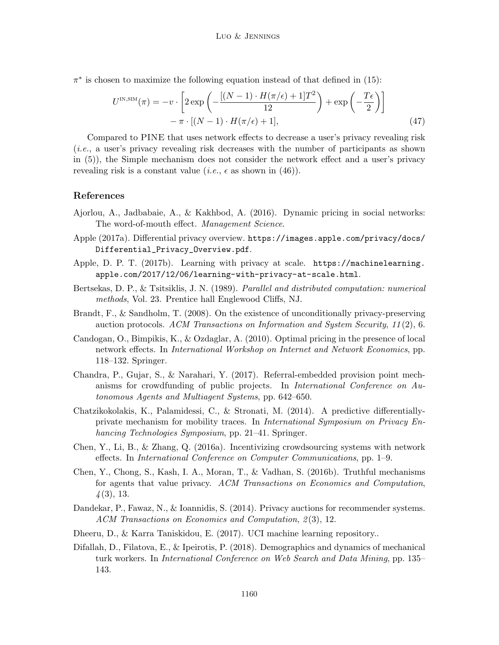$\pi^*$  is chosen to maximize the following equation instead of that defined in (15):

$$
U^{\text{IN,SIM}}(\pi) = -v \cdot \left[ 2 \exp\left( -\frac{[(N-1) \cdot H(\pi/\epsilon) + 1]T^2}{12} \right) + \exp\left( -\frac{T\epsilon}{2} \right) \right] - \pi \cdot [(N-1) \cdot H(\pi/\epsilon) + 1], \tag{47}
$$

Compared to PINE that uses network effects to decrease a user's privacy revealing risk (i.e., a user's privacy revealing risk decreases with the number of participants as shown in (5)), the Simple mechanism does not consider the network effect and a user's privacy revealing risk is a constant value (*i.e.*,  $\epsilon$  as shown in (46)).

#### References

- Ajorlou, A., Jadbabaie, A., & Kakhbod, A. (2016). Dynamic pricing in social networks: The word-of-mouth effect. Management Science.
- Apple (2017a). Differential privacy overview. https://images.apple.com/privacy/docs/ Differential\_Privacy\_Overview.pdf.
- Apple, D. P. T. (2017b). Learning with privacy at scale. https://machinelearning. apple.com/2017/12/06/learning-with-privacy-at-scale.html.
- Bertsekas, D. P., & Tsitsiklis, J. N. (1989). Parallel and distributed computation: numerical methods, Vol. 23. Prentice hall Englewood Cliffs, NJ.
- Brandt, F., & Sandholm, T. (2008). On the existence of unconditionally privacy-preserving auction protocols. ACM Transactions on Information and System Security, 11 (2), 6.
- Candogan, O., Bimpikis, K., & Ozdaglar, A. (2010). Optimal pricing in the presence of local network effects. In International Workshop on Internet and Network Economics, pp. 118–132. Springer.
- Chandra, P., Gujar, S., & Narahari, Y. (2017). Referral-embedded provision point mechanisms for crowdfunding of public projects. In International Conference on Autonomous Agents and Multiagent Systems, pp. 642–650.
- Chatzikokolakis, K., Palamidessi, C., & Stronati, M. (2014). A predictive differentiallyprivate mechanism for mobility traces. In International Symposium on Privacy Enhancing Technologies Symposium, pp. 21–41. Springer.
- Chen, Y., Li, B., & Zhang, Q. (2016a). Incentivizing crowdsourcing systems with network effects. In International Conference on Computer Communications, pp. 1–9.
- Chen, Y., Chong, S., Kash, I. A., Moran, T., & Vadhan, S. (2016b). Truthful mechanisms for agents that value privacy. ACM Transactions on Economics and Computation,  $\frac{1}{4}(3), 13.$
- Dandekar, P., Fawaz, N., & Ioannidis, S. (2014). Privacy auctions for recommender systems. ACM Transactions on Economics and Computation, 2(3), 12.
- Dheeru, D., & Karra Taniskidou, E. (2017). UCI machine learning repository..
- Difallah, D., Filatova, E., & Ipeirotis, P. (2018). Demographics and dynamics of mechanical turk workers. In International Conference on Web Search and Data Mining, pp. 135– 143.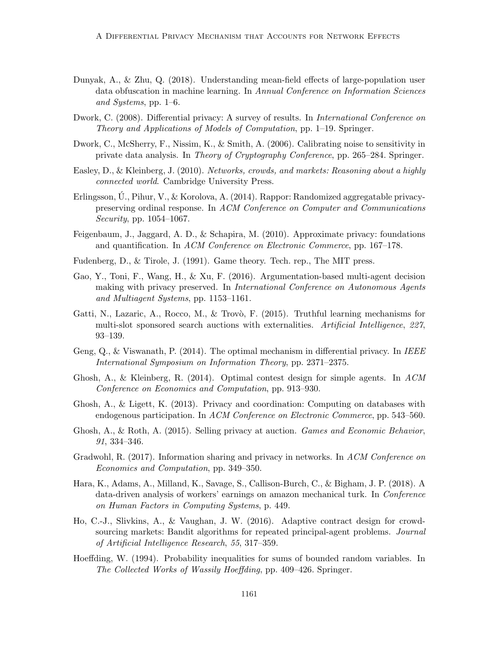- Dunyak, A., & Zhu, Q. (2018). Understanding mean-field effects of large-population user data obfuscation in machine learning. In Annual Conference on Information Sciences and Systems, pp. 1–6.
- Dwork, C. (2008). Differential privacy: A survey of results. In *International Conference on* Theory and Applications of Models of Computation, pp. 1–19. Springer.
- Dwork, C., McSherry, F., Nissim, K., & Smith, A. (2006). Calibrating noise to sensitivity in private data analysis. In Theory of Cryptography Conference, pp. 265–284. Springer.
- Easley, D., & Kleinberg, J. (2010). Networks, crowds, and markets: Reasoning about a highly connected world. Cambridge University Press.
- Erlingsson, U., Pihur, V., & Korolova, A. (2014). Rappor: Randomized aggregatable privacypreserving ordinal response. In ACM Conference on Computer and Communications Security, pp. 1054–1067.
- Feigenbaum, J., Jaggard, A. D., & Schapira, M. (2010). Approximate privacy: foundations and quantification. In ACM Conference on Electronic Commerce, pp. 167–178.
- Fudenberg, D., & Tirole, J. (1991). Game theory. Tech. rep., The MIT press.
- Gao, Y., Toni, F., Wang, H., & Xu, F. (2016). Argumentation-based multi-agent decision making with privacy preserved. In International Conference on Autonomous Agents and Multiagent Systems, pp. 1153–1161.
- Gatti, N., Lazaric, A., Rocco, M., & Trovò, F. (2015). Truthful learning mechanisms for multi-slot sponsored search auctions with externalities. Artificial Intelligence, 227, 93–139.
- Geng,  $Q_i, \&$  Viswanath, P. (2014). The optimal mechanism in differential privacy. In *IEEE* International Symposium on Information Theory, pp. 2371–2375.
- Ghosh, A., & Kleinberg, R. (2014). Optimal contest design for simple agents. In  $ACM$ Conference on Economics and Computation, pp. 913–930.
- Ghosh, A., & Ligett, K. (2013). Privacy and coordination: Computing on databases with endogenous participation. In ACM Conference on Electronic Commerce, pp. 543–560.
- Ghosh, A., & Roth, A. (2015). Selling privacy at auction. Games and Economic Behavior, 91, 334–346.
- Gradwohl, R. (2017). Information sharing and privacy in networks. In ACM Conference on Economics and Computation, pp. 349–350.
- Hara, K., Adams, A., Milland, K., Savage, S., Callison-Burch, C., & Bigham, J. P. (2018). A data-driven analysis of workers' earnings on amazon mechanical turk. In Conference on Human Factors in Computing Systems, p. 449.
- Ho, C.-J., Slivkins, A., & Vaughan, J. W. (2016). Adaptive contract design for crowdsourcing markets: Bandit algorithms for repeated principal-agent problems. Journal of Artificial Intelligence Research, 55, 317–359.
- Hoeffding, W. (1994). Probability inequalities for sums of bounded random variables. In The Collected Works of Wassily Hoeffding, pp. 409–426. Springer.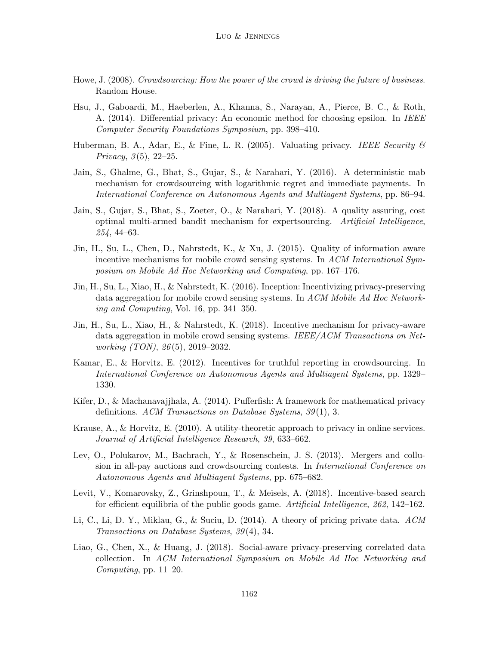- Howe, J. (2008). Crowdsourcing: How the power of the crowd is driving the future of business. Random House.
- Hsu, J., Gaboardi, M., Haeberlen, A., Khanna, S., Narayan, A., Pierce, B. C., & Roth, A. (2014). Differential privacy: An economic method for choosing epsilon. In IEEE Computer Security Foundations Symposium, pp. 398–410.
- Huberman, B. A., Adar, E., & Fine, L. R. (2005). Valuating privacy. *IEEE Security*  $\mathscr B$ *Privacy*,  $3(5)$ ,  $22-25$ .
- Jain, S., Ghalme, G., Bhat, S., Gujar, S., & Narahari, Y. (2016). A deterministic mab mechanism for crowdsourcing with logarithmic regret and immediate payments. In International Conference on Autonomous Agents and Multiagent Systems, pp. 86–94.
- Jain, S., Gujar, S., Bhat, S., Zoeter, O., & Narahari, Y. (2018). A quality assuring, cost optimal multi-armed bandit mechanism for expertsourcing. Artificial Intelligence, 254, 44–63.
- Jin, H., Su, L., Chen, D., Nahrstedt, K., & Xu, J. (2015). Quality of information aware incentive mechanisms for mobile crowd sensing systems. In ACM International Symposium on Mobile Ad Hoc Networking and Computing, pp. 167–176.
- Jin, H., Su, L., Xiao, H., & Nahrstedt, K. (2016). Inception: Incentivizing privacy-preserving data aggregation for mobile crowd sensing systems. In ACM Mobile Ad Hoc Networking and Computing, Vol. 16, pp. 341–350.
- Jin, H., Su, L., Xiao, H., & Nahrstedt, K. (2018). Incentive mechanism for privacy-aware data aggregation in mobile crowd sensing systems. IEEE/ACM Transactions on Networking (TON), 26 (5), 2019–2032.
- Kamar, E., & Horvitz, E. (2012). Incentives for truthful reporting in crowdsourcing. In International Conference on Autonomous Agents and Multiagent Systems, pp. 1329– 1330.
- Kifer, D., & Machanavajjhala, A. (2014). Pufferfish: A framework for mathematical privacy definitions. ACM Transactions on Database Systems, 39(1), 3.
- Krause, A., & Horvitz, E. (2010). A utility-theoretic approach to privacy in online services. Journal of Artificial Intelligence Research, 39, 633–662.
- Lev, O., Polukarov, M., Bachrach, Y., & Rosenschein, J. S. (2013). Mergers and collusion in all-pay auctions and crowdsourcing contests. In International Conference on Autonomous Agents and Multiagent Systems, pp. 675–682.
- Levit, V., Komarovsky, Z., Grinshpoun, T., & Meisels, A. (2018). Incentive-based search for efficient equilibria of the public goods game. Artificial Intelligence, 262, 142–162.
- Li, C., Li, D. Y., Miklau, G., & Suciu, D. (2014). A theory of pricing private data. ACM Transactions on Database Systems, 39 (4), 34.
- Liao, G., Chen, X., & Huang, J. (2018). Social-aware privacy-preserving correlated data collection. In ACM International Symposium on Mobile Ad Hoc Networking and  $Computing$ , pp. 11–20.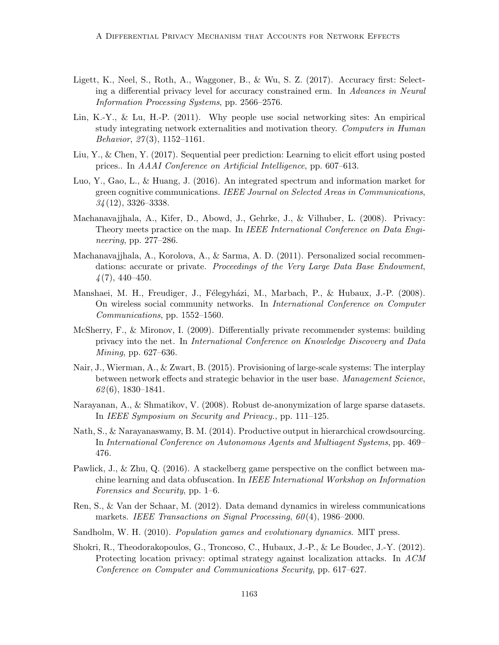- Ligett, K., Neel, S., Roth, A., Waggoner, B., & Wu, S. Z. (2017). Accuracy first: Selecting a differential privacy level for accuracy constrained erm. In Advances in Neural Information Processing Systems, pp. 2566–2576.
- Lin, K.-Y., & Lu, H.-P. (2011). Why people use social networking sites: An empirical study integrating network externalities and motivation theory. Computers in Human Behavior,  $27(3)$ , 1152–1161.
- Liu, Y., & Chen, Y. (2017). Sequential peer prediction: Learning to elicit effort using posted prices.. In AAAI Conference on Artificial Intelligence, pp. 607–613.
- Luo, Y., Gao, L., & Huang, J. (2016). An integrated spectrum and information market for green cognitive communications. IEEE Journal on Selected Areas in Communications,  $34(12)$ , 3326-3338.
- Machanavajjhala, A., Kifer, D., Abowd, J., Gehrke, J., & Vilhuber, L. (2008). Privacy: Theory meets practice on the map. In IEEE International Conference on Data Engineering, pp. 277–286.
- Machanavajjhala, A., Korolova, A., & Sarma, A. D. (2011). Personalized social recommendations: accurate or private. Proceedings of the Very Large Data Base Endowment,  $\frac{4(7)}{440-450}$ .
- Manshaei, M. H., Freudiger, J., Félegyházi, M., Marbach, P., & Hubaux, J.-P. (2008). On wireless social community networks. In International Conference on Computer Communications, pp. 1552–1560.
- McSherry, F., & Mironov, I. (2009). Differentially private recommender systems: building privacy into the net. In International Conference on Knowledge Discovery and Data Mining, pp. 627–636.
- Nair, J., Wierman, A., & Zwart, B. (2015). Provisioning of large-scale systems: The interplay between network effects and strategic behavior in the user base. Management Science,  $62(6)$ , 1830–1841.
- Narayanan, A., & Shmatikov, V. (2008). Robust de-anonymization of large sparse datasets. In IEEE Symposium on Security and Privacy., pp. 111–125.
- Nath, S., & Narayanaswamy, B. M. (2014). Productive output in hierarchical crowdsourcing. In International Conference on Autonomous Agents and Multiagent Systems, pp. 469– 476.
- Pawlick, J., & Zhu, Q. (2016). A stackelberg game perspective on the conflict between machine learning and data obfuscation. In IEEE International Workshop on Information Forensics and Security, pp. 1–6.
- Ren, S., & Van der Schaar, M. (2012). Data demand dynamics in wireless communications markets. IEEE Transactions on Signal Processing,  $60(4)$ , 1986–2000.
- Sandholm, W. H. (2010). Population games and evolutionary dynamics. MIT press.
- Shokri, R., Theodorakopoulos, G., Troncoso, C., Hubaux, J.-P., & Le Boudec, J.-Y. (2012). Protecting location privacy: optimal strategy against localization attacks. In ACM Conference on Computer and Communications Security, pp. 617–627.